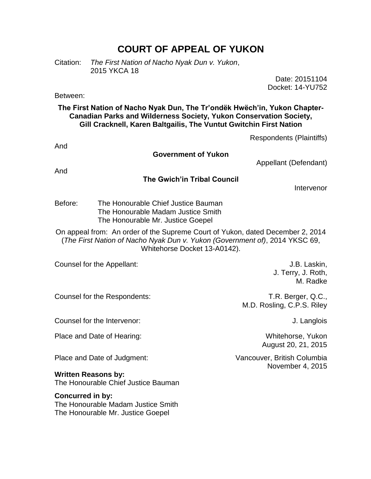# **COURT OF APPEAL OF YUKON**

Citation: *The First Nation of Nacho Nyak Dun v. Yukon*, 2015 YKCA 18

> Date: 20151104 Docket: 14-YU752

Between:

## **The First Nation of Nacho Nyak Dun, The Tr'ondëk Hwëch'in, Yukon Chapter-Canadian Parks and Wilderness Society, Yukon Conservation Society, Gill Cracknell, Karen Baltgailis, The Vuntut Gwitchin First Nation**

|                            |                                                                                                                | Respondents (Plaintiffs)                                                                                                                                      |
|----------------------------|----------------------------------------------------------------------------------------------------------------|---------------------------------------------------------------------------------------------------------------------------------------------------------------|
| And                        | <b>Government of Yukon</b>                                                                                     | Appellant (Defendant)                                                                                                                                         |
| And                        |                                                                                                                |                                                                                                                                                               |
|                            | <b>The Gwich'in Tribal Council</b>                                                                             | Intervenor                                                                                                                                                    |
| Before:                    | The Honourable Chief Justice Bauman<br>The Honourable Madam Justice Smith<br>The Honourable Mr. Justice Goepel |                                                                                                                                                               |
|                            | Whitehorse Docket 13-A0142).                                                                                   | On appeal from: An order of the Supreme Court of Yukon, dated December 2, 2014<br>(The First Nation of Nacho Nyak Dun v. Yukon (Government of), 2014 YKSC 69, |
|                            | Counsel for the Appellant:                                                                                     | J.B. Laskin,<br>J. Terry, J. Roth,<br>M. Radke                                                                                                                |
|                            | Counsel for the Respondents:                                                                                   | T.R. Berger, Q.C.,<br>M.D. Rosling, C.P.S. Riley                                                                                                              |
|                            | Counsel for the Intervenor:                                                                                    | J. Langlois                                                                                                                                                   |
|                            | Place and Date of Hearing:                                                                                     | Whitehorse, Yukon<br>August 20, 21, 2015                                                                                                                      |
|                            | Place and Date of Judgment:                                                                                    | Vancouver, British Columbia<br>November 4, 2015                                                                                                               |
| <b>Written Reasons by:</b> | The Honourable Chief Justice Bauman                                                                            |                                                                                                                                                               |
| Concurred in by:           | The Honourable Madam Justice Smith<br>The Honourable Mr. Justice Goepel                                        |                                                                                                                                                               |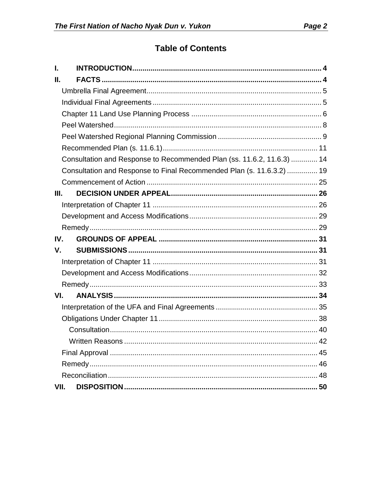# **Table of Contents**

| L    |                                                                        |
|------|------------------------------------------------------------------------|
| Н.   |                                                                        |
|      |                                                                        |
|      |                                                                        |
|      |                                                                        |
|      |                                                                        |
|      |                                                                        |
|      |                                                                        |
|      | Consultation and Response to Recommended Plan (ss. 11.6.2, 11.6.3)  14 |
|      | Consultation and Response to Final Recommended Plan (s. 11.6.3.2)  19  |
|      |                                                                        |
| Ш.   |                                                                        |
|      |                                                                        |
|      |                                                                        |
|      |                                                                        |
| IV.  |                                                                        |
| V.   |                                                                        |
|      |                                                                        |
|      |                                                                        |
|      |                                                                        |
| VI.  |                                                                        |
|      |                                                                        |
|      |                                                                        |
|      |                                                                        |
|      |                                                                        |
|      |                                                                        |
|      |                                                                        |
|      |                                                                        |
| VII. | 50                                                                     |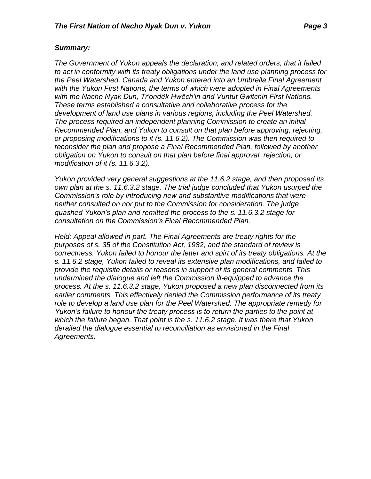## *Summary:*

*The Government of Yukon appeals the declaration, and related orders, that it failed to act in conformity with its treaty obligations under the land use planning process for the Peel Watershed. Canada and Yukon entered into an Umbrella Final Agreement with the Yukon First Nations, the terms of which were adopted in Final Agreements with the Nacho Nyak Dun, Tr'ondëk Hwëch'in and Vuntut Gwitchin First Nations. These terms established a consultative and collaborative process for the development of land use plans in various regions, including the Peel Watershed. The process required an independent planning Commission to create an initial Recommended Plan, and Yukon to consult on that plan before approving, rejecting, or proposing modifications to it (s. 11.6.2). The Commission was then required to reconsider the plan and propose a Final Recommended Plan, followed by another obligation on Yukon to consult on that plan before final approval, rejection, or modification of it (s. 11.6.3.2).*

*Yukon provided very general suggestions at the 11.6.2 stage, and then proposed its own plan at the s. 11.6.3.2 stage. The trial judge concluded that Yukon usurped the Commission's role by introducing new and substantive modifications that were neither consulted on nor put to the Commission for consideration. The judge quashed Yukon's plan and remitted the process to the s. 11.6.3.2 stage for consultation on the Commission's Final Recommended Plan.*

*Held: Appeal allowed in part. The Final Agreements are treaty rights for the purposes of s. 35 of the Constitution Act, 1982, and the standard of review is correctness. Yukon failed to honour the letter and spirt of its treaty obligations. At the s. 11.6.2 stage, Yukon failed to reveal its extensive plan modifications, and failed to provide the requisite details or reasons in support of its general comments. This undermined the dialogue and left the Commission ill-equipped to advance the process. At the s. 11.6.3.2 stage, Yukon proposed a new plan disconnected from its earlier comments. This effectively denied the Commission performance of its treaty role to develop a land use plan for the Peel Watershed. The appropriate remedy for Yukon's failure to honour the treaty process is to return the parties to the point at which the failure began. That point is the s. 11.6.2 stage. It was there that Yukon derailed the dialogue essential to reconciliation as envisioned in the Final Agreements.*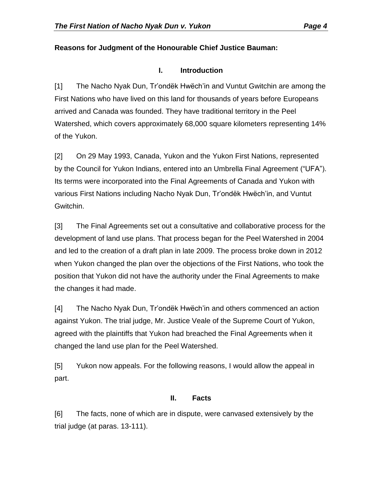## **Reasons for Judgment of the Honourable Chief Justice Bauman:**

## **I. Introduction**

<span id="page-3-0"></span>[1] The Nacho Nyak Dun, Tr'ondëk Hwëch'in and Vuntut Gwitchin are among the First Nations who have lived on this land for thousands of years before Europeans arrived and Canada was founded. They have traditional territory in the Peel Watershed, which covers approximately 68,000 square kilometers representing 14% of the Yukon.

[2] On 29 May 1993, Canada, Yukon and the Yukon First Nations, represented by the Council for Yukon Indians, entered into an Umbrella Final Agreement ("UFA"). Its terms were incorporated into the Final Agreements of Canada and Yukon with various First Nations including Nacho Nyak Dun, Tr'ondëk Hwëch'in, and Vuntut Gwitchin.

[3] The Final Agreements set out a consultative and collaborative process for the development of land use plans. That process began for the Peel Watershed in 2004 and led to the creation of a draft plan in late 2009. The process broke down in 2012 when Yukon changed the plan over the objections of the First Nations, who took the position that Yukon did not have the authority under the Final Agreements to make the changes it had made.

[4] The Nacho Nyak Dun, Tr'ondëk Hwëch'in and others commenced an action against Yukon. The trial judge, Mr. Justice Veale of the Supreme Court of Yukon, agreed with the plaintiffs that Yukon had breached the Final Agreements when it changed the land use plan for the Peel Watershed.

[5] Yukon now appeals. For the following reasons, I would allow the appeal in part.

# **II. Facts**

<span id="page-3-1"></span>[6] The facts, none of which are in dispute, were canvased extensively by the trial judge (at paras. 13-111).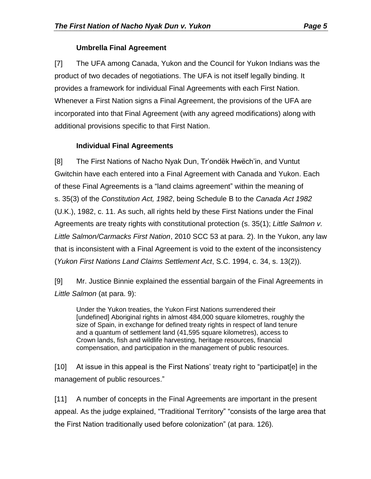## **Umbrella Final Agreement**

<span id="page-4-0"></span>[7] The UFA among Canada, Yukon and the Council for Yukon Indians was the product of two decades of negotiations. The UFA is not itself legally binding. It provides a framework for individual Final Agreements with each First Nation. Whenever a First Nation signs a Final Agreement, the provisions of the UFA are incorporated into that Final Agreement (with any agreed modifications) along with additional provisions specific to that First Nation.

# **Individual Final Agreements**

<span id="page-4-1"></span>[8] The First Nations of Nacho Nyak Dun, Tr'ondëk Hwëch'in, and Vuntut Gwitchin have each entered into a Final Agreement with Canada and Yukon. Each of these Final Agreements is a "land claims agreement" within the meaning of s. 35(3) of the *Constitution Act, 1982*, being Schedule B to the *Canada Act 1982* (U.K.), 1982, c. 11. As such, all rights held by these First Nations under the Final Agreements are treaty rights with constitutional protection (s. 35(1); *Little Salmon v. Little Salmon/Carmacks First Nation*, 2010 SCC 53 at para. 2). In the Yukon, any law that is inconsistent with a Final Agreement is void to the extent of the inconsistency (*Yukon First Nations Land Claims Settlement Act*, S.C. 1994, c. 34, s. 13(2)).

[9] Mr. Justice Binnie explained the essential bargain of the Final Agreements in *Little Salmon* (at para. 9):

Under the Yukon treaties, the Yukon First Nations surrendered their [undefined] Aboriginal rights in almost 484,000 square kilometres, roughly the size of Spain, in exchange for defined treaty rights in respect of land tenure and a quantum of settlement land (41,595 square kilometres), access to Crown lands, fish and wildlife harvesting, heritage resources, financial compensation, and participation in the management of public resources.

[10] At issue in this appeal is the First Nations' treaty right to "participat[e] in the management of public resources."

[11] A number of concepts in the Final Agreements are important in the present appeal. As the judge explained, "Traditional Territory" "consists of the large area that the First Nation traditionally used before colonization" (at para. 126).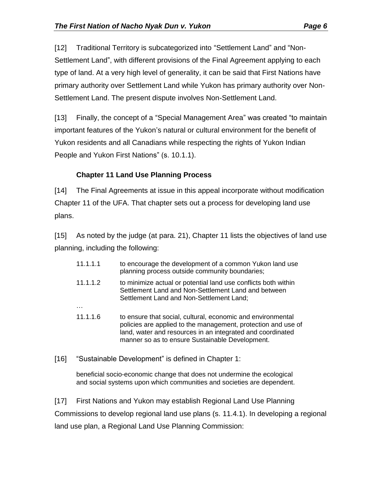[12] Traditional Territory is subcategorized into "Settlement Land" and "Non-Settlement Land", with different provisions of the Final Agreement applying to each type of land. At a very high level of generality, it can be said that First Nations have primary authority over Settlement Land while Yukon has primary authority over Non-Settlement Land. The present dispute involves Non-Settlement Land.

[13] Finally, the concept of a "Special Management Area" was created "to maintain important features of the Yukon's natural or cultural environment for the benefit of Yukon residents and all Canadians while respecting the rights of Yukon Indian People and Yukon First Nations" (s. 10.1.1).

# **Chapter 11 Land Use Planning Process**

<span id="page-5-0"></span>[14] The Final Agreements at issue in this appeal incorporate without modification Chapter 11 of the UFA. That chapter sets out a process for developing land use plans.

[15] As noted by the judge (at para. 21), Chapter 11 lists the objectives of land use planning, including the following:

- 11.1.1.1 to encourage the development of a common Yukon land use planning process outside community boundaries;
- 11.1.1.2 to minimize actual or potential land use conflicts both within Settlement Land and Non-Settlement Land and between Settlement Land and Non-Settlement Land; …
- 11.1.1.6 to ensure that social, cultural, economic and environmental policies are applied to the management, protection and use of land, water and resources in an integrated and coordinated manner so as to ensure Sustainable Development.
- [16] "Sustainable Development" is defined in Chapter 1:

beneficial socio-economic change that does not undermine the ecological and social systems upon which communities and societies are dependent.

[17] First Nations and Yukon may establish Regional Land Use Planning Commissions to develop regional land use plans (s. 11.4.1). In developing a regional land use plan, a Regional Land Use Planning Commission: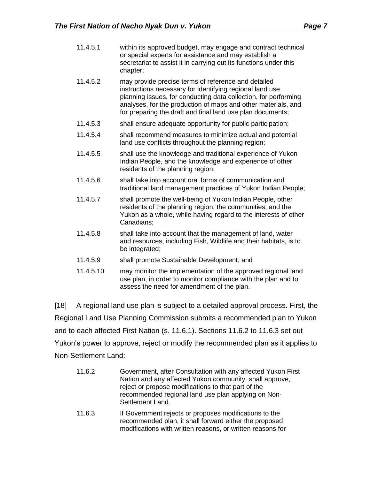| 11.4.5.1  | within its approved budget, may engage and contract technical<br>or special experts for assistance and may establish a<br>secretariat to assist it in carrying out its functions under this<br>chapter;                                                                                                           |
|-----------|-------------------------------------------------------------------------------------------------------------------------------------------------------------------------------------------------------------------------------------------------------------------------------------------------------------------|
| 11.4.5.2  | may provide precise terms of reference and detailed<br>instructions necessary for identifying regional land use<br>planning issues, for conducting data collection, for performing<br>analyses, for the production of maps and other materials, and<br>for preparing the draft and final land use plan documents; |
| 11.4.5.3  | shall ensure adequate opportunity for public participation;                                                                                                                                                                                                                                                       |
| 11.4.5.4  | shall recommend measures to minimize actual and potential<br>land use conflicts throughout the planning region;                                                                                                                                                                                                   |
| 11.4.5.5  | shall use the knowledge and traditional experience of Yukon<br>Indian People, and the knowledge and experience of other<br>residents of the planning region;                                                                                                                                                      |
| 11.4.5.6  | shall take into account oral forms of communication and<br>traditional land management practices of Yukon Indian People;                                                                                                                                                                                          |
| 11.4.5.7  | shall promote the well-being of Yukon Indian People, other<br>residents of the planning region, the communities, and the<br>Yukon as a whole, while having regard to the interests of other<br>Canadians;                                                                                                         |
| 11.4.5.8  | shall take into account that the management of land, water<br>and resources, including Fish, Wildlife and their habitats, is to<br>be integrated;                                                                                                                                                                 |
| 11.4.5.9  | shall promote Sustainable Development; and                                                                                                                                                                                                                                                                        |
| 11.4.5.10 | may monitor the implementation of the approved regional land<br>use plan, in order to monitor compliance with the plan and to<br>assess the need for amendment of the plan.                                                                                                                                       |

[18] A regional land use plan is subject to a detailed approval process. First, the Regional Land Use Planning Commission submits a recommended plan to Yukon and to each affected First Nation (s. 11.6.1). Sections 11.6.2 to 11.6.3 set out Yukon's power to approve, reject or modify the recommended plan as it applies to Non-Settlement Land:

- 11.6.2 Government, after Consultation with any affected Yukon First Nation and any affected Yukon community, shall approve, reject or propose modifications to that part of the recommended regional land use plan applying on Non-Settlement Land.
- 11.6.3 If Government rejects or proposes modifications to the recommended plan, it shall forward either the proposed modifications with written reasons, or written reasons for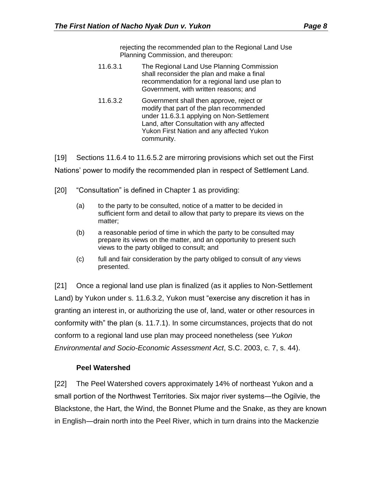rejecting the recommended plan to the Regional Land Use Planning Commission, and thereupon:

- 11.6.3.1 The Regional Land Use Planning Commission shall reconsider the plan and make a final recommendation for a regional land use plan to Government, with written reasons; and
- 11.6.3.2 Government shall then approve, reject or modify that part of the plan recommended under 11.6.3.1 applying on Non-Settlement Land, after Consultation with any affected Yukon First Nation and any affected Yukon community.

[19] Sections 11.6.4 to 11.6.5.2 are mirroring provisions which set out the First Nations' power to modify the recommended plan in respect of Settlement Land.

- [20] "Consultation" is defined in Chapter 1 as providing:
	- (a) to the party to be consulted, notice of a matter to be decided in sufficient form and detail to allow that party to prepare its views on the matter;
	- (b) a reasonable period of time in which the party to be consulted may prepare its views on the matter, and an opportunity to present such views to the party obliged to consult; and
	- (c) full and fair consideration by the party obliged to consult of any views presented.

[21] Once a regional land use plan is finalized (as it applies to Non-Settlement Land) by Yukon under s. 11.6.3.2, Yukon must "exercise any discretion it has in granting an interest in, or authorizing the use of, land, water or other resources in conformity with" the plan (s. 11.7.1). In some circumstances, projects that do not conform to a regional land use plan may proceed nonetheless (see *Yukon Environmental and Socio-Economic Assessment Act*, S.C. 2003, c. 7, s. 44).

# **Peel Watershed**

<span id="page-7-0"></span>[22] The Peel Watershed covers approximately 14% of northeast Yukon and a small portion of the Northwest Territories. Six major river systems—the Ogilvie, the Blackstone, the Hart, the Wind, the Bonnet Plume and the Snake, as they are known in English―drain north into the Peel River, which in turn drains into the Mackenzie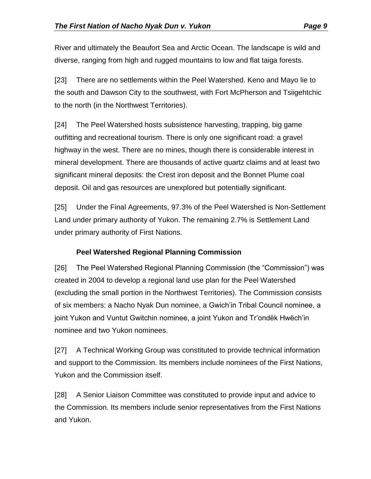River and ultimately the Beaufort Sea and Arctic Ocean. The landscape is wild and diverse, ranging from high and rugged mountains to low and flat taiga forests.

[23] There are no settlements within the Peel Watershed. Keno and Mayo lie to the south and Dawson City to the southwest, with Fort McPherson and Tsiigehtchic to the north (in the Northwest Territories).

[24] The Peel Watershed hosts subsistence harvesting, trapping, big game outfitting and recreational tourism. There is only one significant road: a gravel highway in the west. There are no mines, though there is considerable interest in mineral development. There are thousands of active quartz claims and at least two significant mineral deposits: the Crest iron deposit and the Bonnet Plume coal deposit. Oil and gas resources are unexplored but potentially significant.

[25] Under the Final Agreements, 97.3% of the Peel Watershed is Non-Settlement Land under primary authority of Yukon. The remaining 2.7% is Settlement Land under primary authority of First Nations.

# **Peel Watershed Regional Planning Commission**

<span id="page-8-0"></span>[26] The Peel Watershed Regional Planning Commission (the "Commission") was created in 2004 to develop a regional land use plan for the Peel Watershed (excluding the small portion in the Northwest Territories). The Commission consists of six members: a Nacho Nyak Dun nominee, a Gwich'in Tribal Council nominee, a joint Yukon and Vuntut Gwitchin nominee, a joint Yukon and Tr'ondëk Hwëch'in nominee and two Yukon nominees.

[27] A Technical Working Group was constituted to provide technical information and support to the Commission. Its members include nominees of the First Nations, Yukon and the Commission itself.

[28] A Senior Liaison Committee was constituted to provide input and advice to the Commission. Its members include senior representatives from the First Nations and Yukon.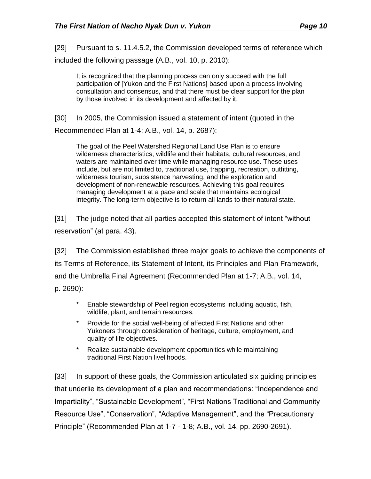[29] Pursuant to s. 11.4.5.2, the Commission developed terms of reference which included the following passage (A.B., vol. 10, p. 2010):

It is recognized that the planning process can only succeed with the full participation of [Yukon and the First Nations] based upon a process involving consultation and consensus, and that there must be clear support for the plan by those involved in its development and affected by it.

[30] In 2005, the Commission issued a statement of intent (quoted in the Recommended Plan at 1-4; A.B., vol. 14, p. 2687):

The goal of the Peel Watershed Regional Land Use Plan is to ensure wilderness characteristics, wildlife and their habitats, cultural resources, and waters are maintained over time while managing resource use. These uses include, but are not limited to, traditional use, trapping, recreation, outfitting, wilderness tourism, subsistence harvesting, and the exploration and development of non-renewable resources. Achieving this goal requires managing development at a pace and scale that maintains ecological integrity. The long-term objective is to return all lands to their natural state.

[31] The judge noted that all parties accepted this statement of intent "without reservation" (at para. 43).

[32] The Commission established three major goals to achieve the components of its Terms of Reference, its Statement of Intent, its Principles and Plan Framework, and the Umbrella Final Agreement (Recommended Plan at 1-7; A.B., vol. 14,

p. 2690):

- Enable stewardship of Peel region ecosystems including aquatic, fish, wildlife, plant, and terrain resources.
- \* Provide for the social well-being of affected First Nations and other Yukoners through consideration of heritage, culture, employment, and quality of life objectives.
- \* Realize sustainable development opportunities while maintaining traditional First Nation livelihoods.

[33] In support of these goals, the Commission articulated six guiding principles that underlie its development of a plan and recommendations: "Independence and Impartiality", "Sustainable Development", "First Nations Traditional and Community Resource Use", "Conservation", "Adaptive Management", and the "Precautionary Principle" (Recommended Plan at 1-7 - 1-8; A.B., vol. 14, pp. 2690-2691).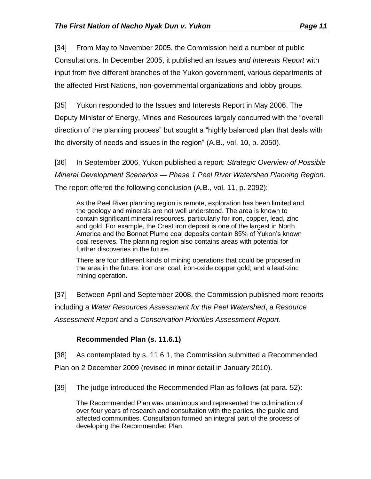[34] From May to November 2005, the Commission held a number of public Consultations. In December 2005, it published an *Issues and Interests Report* with input from five different branches of the Yukon government, various departments of the affected First Nations, non-governmental organizations and lobby groups.

[35] Yukon responded to the Issues and Interests Report in May 2006. The Deputy Minister of Energy, Mines and Resources largely concurred with the "overall direction of the planning process" but sought a "highly balanced plan that deals with the diversity of needs and issues in the region" (A.B., vol. 10, p. 2050).

[36] In September 2006, Yukon published a report: *Strategic Overview of Possible Mineral Development Scenarios ― Phase 1 Peel River Watershed Planning Region*. The report offered the following conclusion (A.B., vol. 11, p. 2092):

As the Peel River planning region is remote, exploration has been limited and the geology and minerals are not well understood. The area is known to contain significant mineral resources, particularly for iron, copper, lead, zinc and gold. For example, the Crest iron deposit is one of the largest in North America and the Bonnet Plume coal deposits contain 85% of Yukon's known coal reserves. The planning region also contains areas with potential for further discoveries in the future.

There are four different kinds of mining operations that could be proposed in the area in the future: iron ore; coal; iron-oxide copper gold; and a lead-zinc mining operation.

[37] Between April and September 2008, the Commission published more reports including a *Water Resources Assessment for the Peel Watershed*, a *Resource Assessment Report* and a *Conservation Priorities Assessment Report*.

# **Recommended Plan (s. 11.6.1)**

<span id="page-10-0"></span>[38] As contemplated by s. 11.6.1, the Commission submitted a Recommended Plan on 2 December 2009 (revised in minor detail in January 2010).

[39] The judge introduced the Recommended Plan as follows (at para. 52):

The Recommended Plan was unanimous and represented the culmination of over four years of research and consultation with the parties, the public and affected communities. Consultation formed an integral part of the process of developing the Recommended Plan.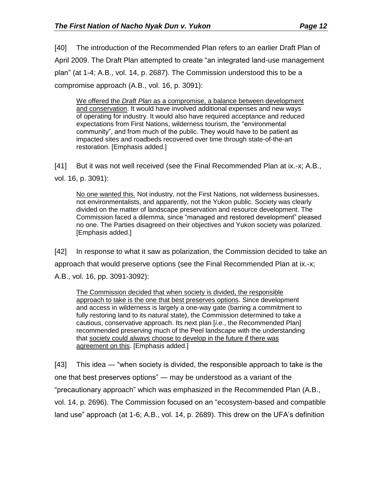[40] The introduction of the Recommended Plan refers to an earlier Draft Plan of April 2009. The Draft Plan attempted to create "an integrated land-use management plan" (at 1-4; A.B., vol. 14, p. 2687). The Commission understood this to be a compromise approach (A.B., vol. 16, p. 3091):

We offered the *Draft Plan* as a compromise, a balance between development and conservation. It would have involved additional expenses and new ways of operating for industry. It would also have required acceptance and reduced expectations from First Nations, wilderness tourism, the "environmental community", and from much of the public. They would have to be patient as impacted sites and roadbeds recovered over time through state-of-the-art restoration. [Emphasis added.]

[41] But it was not well received (see the Final Recommended Plan at ix.-x; A.B., vol. 16, p. 3091):

No one wanted this. Not industry, not the First Nations, not wilderness businesses, not environmentalists, and apparently, not the Yukon public. Society was clearly divided on the matter of landscape preservation and resource development. The Commission faced a dilemma, since "managed and restored development" pleased no one. The Parties disagreed on their objectives and Yukon society was polarized. [Emphasis added.]

[42] In response to what it saw as polarization, the Commission decided to take an approach that would preserve options (see the Final Recommended Plan at ix.-x; A.B., vol. 16, pp. 3091-3092):

The Commission decided that when society is divided, the responsible approach to take is the one that best preserves options. Since development and access in wilderness is largely a one-way gate (barring a commitment to fully restoring land to its natural state), the Commission determined to take a cautious, conservative approach. Its next plan [*i.e.*, the Recommended Plan] recommended preserving much of the Peel landscape with the understanding that society could always choose to develop in the future if there was agreement on this. [Emphasis added.]

[43] This idea ― "when society is divided, the responsible approach to take is the one that best preserves options" ― may be understood as a variant of the "precautionary approach" which was emphasized in the Recommended Plan (A.B., vol. 14, p. 2696). The Commission focused on an "ecosystem-based and compatible land use" approach (at 1-6; A.B., vol. 14, p. 2689). This drew on the UFA's definition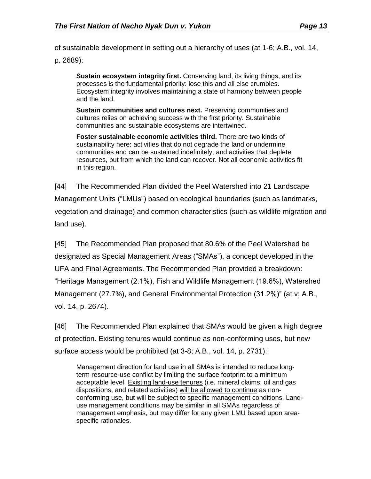of sustainable development in setting out a hierarchy of uses (at 1-6; A.B., vol. 14,

p. 2689):

**Sustain ecosystem integrity first.** Conserving land, its living things, and its processes is the fundamental priority: lose this and all else crumbles. Ecosystem integrity involves maintaining a state of harmony between people and the land.

**Sustain communities and cultures next.** Preserving communities and cultures relies on achieving success with the first priority. Sustainable communities and sustainable ecosystems are intertwined.

**Foster sustainable economic activities third.** There are two kinds of sustainability here: activities that do not degrade the land or undermine communities and can be sustained indefinitely; and activities that deplete resources, but from which the land can recover. Not all economic activities fit in this region.

[44] The Recommended Plan divided the Peel Watershed into 21 Landscape Management Units ("LMUs") based on ecological boundaries (such as landmarks, vegetation and drainage) and common characteristics (such as wildlife migration and land use).

[45] The Recommended Plan proposed that 80.6% of the Peel Watershed be designated as Special Management Areas ("SMAs"), a concept developed in the UFA and Final Agreements. The Recommended Plan provided a breakdown: "Heritage Management (2.1%), Fish and Wildlife Management (19.6%), Watershed Management (27.7%), and General Environmental Protection (31.2%)" (at v; A.B., vol. 14, p. 2674).

[46] The Recommended Plan explained that SMAs would be given a high degree of protection. Existing tenures would continue as non-conforming uses, but new surface access would be prohibited (at 3-8; A.B., vol. 14, p. 2731):

Management direction for land use in all SMAs is intended to reduce longterm resource-use conflict by limiting the surface footprint to a minimum acceptable level. Existing land-use tenures (i.e. mineral claims, oil and gas dispositions, and related activities) will be allowed to continue as nonconforming use, but will be subject to specific management conditions. Landuse management conditions may be similar in all SMAs regardless of management emphasis, but may differ for any given LMU based upon areaspecific rationales.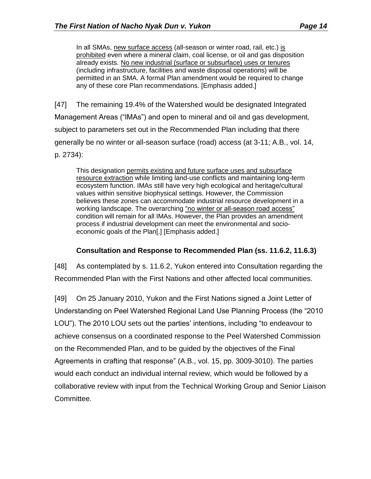In all SMAs, new surface access (all-season or winter road, rail, etc.) is prohibited even where a mineral claim, coal license, or oil and gas disposition already exists. No new industrial (surface or subsurface) uses or tenures (including infrastructure, facilities and waste disposal operations) will be permitted in an SMA. A formal Plan amendment would be required to change any of these core Plan recommendations. [Emphasis added.]

[47] The remaining 19.4% of the Watershed would be designated Integrated Management Areas ("IMAs") and open to mineral and oil and gas development, subject to parameters set out in the Recommended Plan including that there generally be no winter or all-season surface (road) access (at 3-11; A.B., vol. 14, p. 2734):

This designation permits existing and future surface uses and subsurface resource extraction while limiting land-use conflicts and maintaining long-term ecosystem function. IMAs still have very high ecological and heritage/cultural values within sensitive biophysical settings. However, the Commission believes these zones can accommodate industrial resource development in a working landscape. The overarching "no winter or all-season road access" condition will remain for all IMAs. However, the Plan provides an amendment process if industrial development can meet the environmental and socioeconomic goals of the Plan[.] [Emphasis added.]

## **Consultation and Response to Recommended Plan (ss. 11.6.2, 11.6.3)**

<span id="page-13-0"></span>[48] As contemplated by s. 11.6.2, Yukon entered into Consultation regarding the Recommended Plan with the First Nations and other affected local communities.

[49] On 25 January 2010, Yukon and the First Nations signed a Joint Letter of Understanding on Peel Watershed Regional Land Use Planning Process (the "2010 LOU"). The 2010 LOU sets out the parties' intentions, including "to endeavour to achieve consensus on a coordinated response to the Peel Watershed Commission on the Recommended Plan, and to be guided by the objectives of the Final Agreements in crafting that response" (A.B., vol. 15, pp. 3009-3010). The parties would each conduct an individual internal review, which would be followed by a collaborative review with input from the Technical Working Group and Senior Liaison Committee.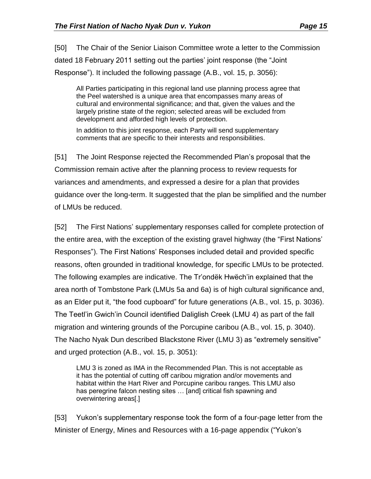[50] The Chair of the Senior Liaison Committee wrote a letter to the Commission dated 18 February 2011 setting out the parties' joint response (the "Joint Response"). It included the following passage (A.B., vol. 15, p. 3056):

All Parties participating in this regional land use planning process agree that the Peel watershed is a unique area that encompasses many areas of cultural and environmental significance; and that, given the values and the largely pristine state of the region; selected areas will be excluded from development and afforded high levels of protection.

In addition to this joint response, each Party will send supplementary comments that are specific to their interests and responsibilities.

[51] The Joint Response rejected the Recommended Plan's proposal that the Commission remain active after the planning process to review requests for variances and amendments, and expressed a desire for a plan that provides guidance over the long-term. It suggested that the plan be simplified and the number of LMUs be reduced.

[52] The First Nations' supplementary responses called for complete protection of the entire area, with the exception of the existing gravel highway (the "First Nations' Responses"). The First Nations' Responses included detail and provided specific reasons, often grounded in traditional knowledge, for specific LMUs to be protected. The following examples are indicative. The Tr'ondëk Hwëch'in explained that the area north of Tombstone Park (LMUs 5a and 6a) is of high cultural significance and, as an Elder put it, "the food cupboard" for future generations (A.B., vol. 15, p. 3036). The Teetl'in Gwich'in Council identified Daliglish Creek (LMU 4) as part of the fall migration and wintering grounds of the Porcupine caribou (A.B., vol. 15, p. 3040). The Nacho Nyak Dun described Blackstone River (LMU 3) as "extremely sensitive" and urged protection (A.B., vol. 15, p. 3051):

LMU 3 is zoned as IMA in the Recommended Plan. This is not acceptable as it has the potential of cutting off caribou migration and/or movements and habitat within the Hart River and Porcupine caribou ranges. This LMU also has peregrine falcon nesting sites … [and] critical fish spawning and overwintering areas[.]

[53] Yukon's supplementary response took the form of a four-page letter from the Minister of Energy, Mines and Resources with a 16-page appendix ("Yukon's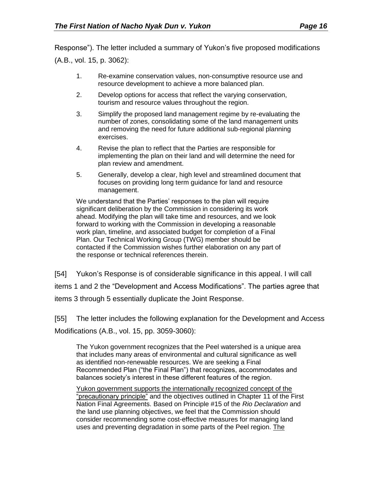Response"). The letter included a summary of Yukon's five proposed modifications (A.B., vol. 15, p. 3062):

- 1. Re-examine conservation values, non-consumptive resource use and resource development to achieve a more balanced plan.
- 2. Develop options for access that reflect the varying conservation, tourism and resource values throughout the region.
- 3. Simplify the proposed land management regime by re-evaluating the number of zones, consolidating some of the land management units and removing the need for future additional sub-regional planning exercises.
- 4. Revise the plan to reflect that the Parties are responsible for implementing the plan on their land and will determine the need for plan review and amendment.
- 5. Generally, develop a clear, high level and streamlined document that focuses on providing long term guidance for land and resource management.

We understand that the Parties' responses to the plan will require significant deliberation by the Commission in considering its work ahead. Modifying the plan will take time and resources, and we look forward to working with the Commission in developing a reasonable work plan, timeline, and associated budget for completion of a Final Plan. Our Technical Working Group (TWG) member should be contacted if the Commission wishes further elaboration on any part of the response or technical references therein.

[54] Yukon's Response is of considerable significance in this appeal. I will call items 1 and 2 the "Development and Access Modifications". The parties agree that items 3 through 5 essentially duplicate the Joint Response.

[55] The letter includes the following explanation for the Development and Access

Modifications (A.B., vol. 15, pp. 3059-3060):

The Yukon government recognizes that the Peel watershed is a unique area that includes many areas of environmental and cultural significance as well as identified non-renewable resources. We are seeking a Final Recommended Plan ("the Final Plan") that recognizes, accommodates and balances society's interest in these different features of the region.

Yukon government supports the internationally recognized concept of the "precautionary principle" and the objectives outlined in Chapter 11 of the First Nation Final Agreements. Based on Principle #15 of the *Rio Declaration* and the land use planning objectives, we feel that the Commission should consider recommending some cost-effective measures for managing land uses and preventing degradation in some parts of the Peel region. The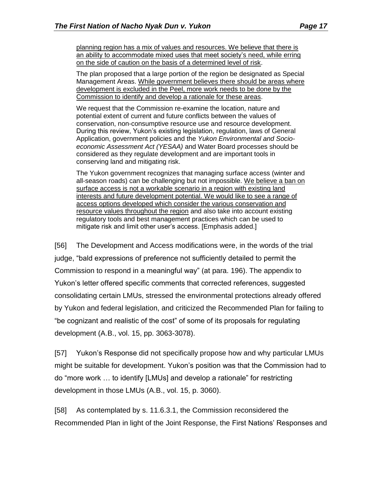planning region has a mix of values and resources. We believe that there is an ability to accommodate mixed uses that meet society's need, while erring on the side of caution on the basis of a determined level of risk.

The plan proposed that a large portion of the region be designated as Special Management Areas. While government believes there should be areas where development is excluded in the Peel, more work needs to be done by the Commission to identify and develop a rationale for these areas.

We request that the Commission re-examine the location, nature and potential extent of current and future conflicts between the values of conservation, non-consumptive resource use and resource development. During this review, Yukon's existing legislation, regulation, laws of General Application, government policies and the *Yukon Environmental and Socioeconomic Assessment Act (YESAA)* and Water Board processes should be considered as they regulate development and are important tools in conserving land and mitigating risk.

The Yukon government recognizes that managing surface access (winter and all-season roads) can be challenging but not impossible. We believe a ban on surface access is not a workable scenario in a region with existing land interests and future development potential. We would like to see a range of access options developed which consider the various conservation and resource values throughout the region and also take into account existing regulatory tools and best management practices which can be used to mitigate risk and limit other user's access. [Emphasis added.]

[56] The Development and Access modifications were, in the words of the trial judge, "bald expressions of preference not sufficiently detailed to permit the Commission to respond in a meaningful way" (at para. 196). The appendix to Yukon's letter offered specific comments that corrected references, suggested consolidating certain LMUs, stressed the environmental protections already offered by Yukon and federal legislation, and criticized the Recommended Plan for failing to "be cognizant and realistic of the cost" of some of its proposals for regulating development (A.B., vol. 15, pp. 3063-3078).

[57] Yukon's Response did not specifically propose how and why particular LMUs might be suitable for development. Yukon's position was that the Commission had to do "more work … to identify [LMUs] and develop a rationale" for restricting development in those LMUs (A.B., vol. 15, p. 3060).

[58] As contemplated by s. 11.6.3.1, the Commission reconsidered the Recommended Plan in light of the Joint Response, the First Nations' Responses and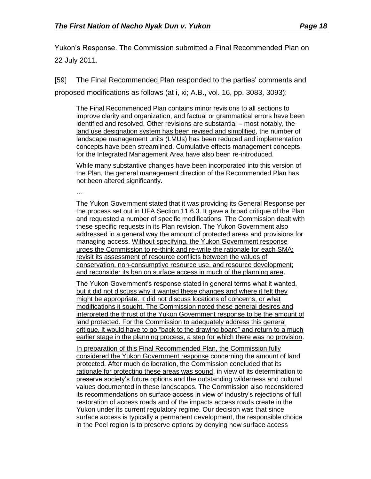Yukon's Response. The Commission submitted a Final Recommended Plan on 22 July 2011.

[59] The Final Recommended Plan responded to the parties' comments and

proposed modifications as follows (at i, xi; A.B., vol. 16, pp. 3083, 3093):

The Final Recommended Plan contains minor revisions to all sections to improve clarity and organization, and factual or grammatical errors have been identified and resolved. Other revisions are substantial – most notably, the land use designation system has been revised and simplified, the number of landscape management units (LMUs) has been reduced and implementation concepts have been streamlined. Cumulative effects management concepts for the Integrated Management Area have also been re-introduced.

While many substantive changes have been incorporated into this version of the Plan, the general management direction of the Recommended Plan has not been altered significantly.

…

The Yukon Government stated that it was providing its General Response per the process set out in UFA Section 11.6.3. It gave a broad critique of the Plan and requested a number of specific modifications. The Commission dealt with these specific requests in its Plan revision. The Yukon Government also addressed in a general way the amount of protected areas and provisions for managing access. Without specifying, the Yukon Government response urges the Commission to re-think and re-write the rationale for each SMA; revisit its assessment of resource conflicts between the values of conservation, non-consumptive resource use, and resource development; and reconsider its ban on surface access in much of the planning area.

The Yukon Government's response stated in general terms what it wanted, but it did not discuss why it wanted these changes and where it felt they might be appropriate. It did not discuss locations of concerns, or what modifications it sought. The Commission noted these general desires and interpreted the thrust of the Yukon Government response to be the amount of land protected. For the Commission to adequately address this general critique, it would have to go "back to the drawing board" and return to a much earlier stage in the planning process, a step for which there was no provision.

In preparation of this Final Recommended Plan, the Commission fully considered the Yukon Government response concerning the amount of land protected. After much deliberation, the Commission concluded that its rationale for protecting these areas was sound, in view of its determination to preserve society's future options and the outstanding wilderness and cultural values documented in these landscapes. The Commission also reconsidered its recommendations on surface access in view of industry's rejections of full restoration of access roads and of the impacts access roads create in the Yukon under its current regulatory regime. Our decision was that since surface access is typically a permanent development, the responsible choice in the Peel region is to preserve options by denying new surface access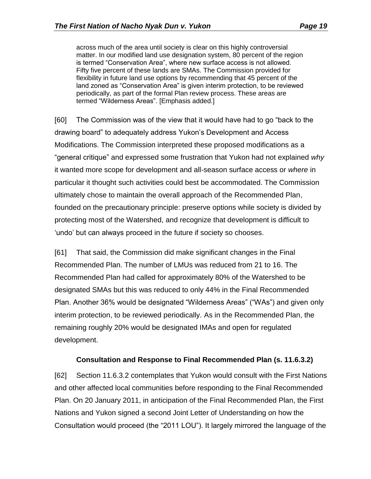across much of the area until society is clear on this highly controversial matter. In our modified land use designation system, 80 percent of the region is termed "Conservation Area", where new surface access is not allowed. Fifty five percent of these lands are SMAs. The Commission provided for flexibility in future land use options by recommending that 45 percent of the land zoned as "Conservation Area" is given interim protection, to be reviewed periodically, as part of the formal Plan review process. These areas are termed "Wilderness Areas". [Emphasis added.]

[60] The Commission was of the view that it would have had to go "back to the drawing board" to adequately address Yukon's Development and Access Modifications. The Commission interpreted these proposed modifications as a "general critique" and expressed some frustration that Yukon had not explained *why* it wanted more scope for development and all-season surface access or *where* in particular it thought such activities could best be accommodated. The Commission ultimately chose to maintain the overall approach of the Recommended Plan, founded on the precautionary principle: preserve options while society is divided by protecting most of the Watershed, and recognize that development is difficult to 'undo' but can always proceed in the future if society so chooses.

[61] That said, the Commission did make significant changes in the Final Recommended Plan. The number of LMUs was reduced from 21 to 16. The Recommended Plan had called for approximately 80% of the Watershed to be designated SMAs but this was reduced to only 44% in the Final Recommended Plan. Another 36% would be designated "Wilderness Areas" ("WAs") and given only interim protection, to be reviewed periodically. As in the Recommended Plan, the remaining roughly 20% would be designated IMAs and open for regulated development.

### **Consultation and Response to Final Recommended Plan (s. 11.6.3.2)**

<span id="page-18-0"></span>[62] Section 11.6.3.2 contemplates that Yukon would consult with the First Nations and other affected local communities before responding to the Final Recommended Plan. On 20 January 2011, in anticipation of the Final Recommended Plan, the First Nations and Yukon signed a second Joint Letter of Understanding on how the Consultation would proceed (the "2011 LOU"). It largely mirrored the language of the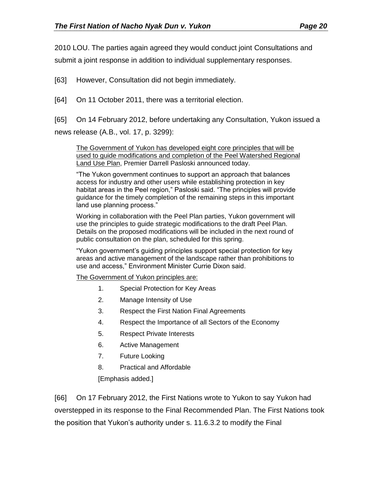2010 LOU. The parties again agreed they would conduct joint Consultations and

submit a joint response in addition to individual supplementary responses.

[63] However, Consultation did not begin immediately.

- [64] On 11 October 2011, there was a territorial election.
- [65] On 14 February 2012, before undertaking any Consultation, Yukon issued a

news release (A.B., vol. 17, p. 3299):

The Government of Yukon has developed eight core principles that will be used to guide modifications and completion of the Peel Watershed Regional Land Use Plan, Premier Darrell Pasloski announced today.

"The Yukon government continues to support an approach that balances access for industry and other users while establishing protection in key habitat areas in the Peel region," Pasloski said. "The principles will provide guidance for the timely completion of the remaining steps in this important land use planning process."

Working in collaboration with the Peel Plan parties, Yukon government will use the principles to guide strategic modifications to the draft Peel Plan. Details on the proposed modifications will be included in the next round of public consultation on the plan, scheduled for this spring.

"Yukon government's guiding principles support special protection for key areas and active management of the landscape rather than prohibitions to use and access," Environment Minister Currie Dixon said.

The Government of Yukon principles are:

- 1. Special Protection for Key Areas
- 2. Manage Intensity of Use
- 3. Respect the First Nation Final Agreements
- 4. Respect the Importance of all Sectors of the Economy
- 5. Respect Private Interests
- 6. Active Management
- 7. Future Looking
- 8. Practical and Affordable

[Emphasis added.]

[66] On 17 February 2012, the First Nations wrote to Yukon to say Yukon had overstepped in its response to the Final Recommended Plan. The First Nations took the position that Yukon's authority under s. 11.6.3.2 to modify the Final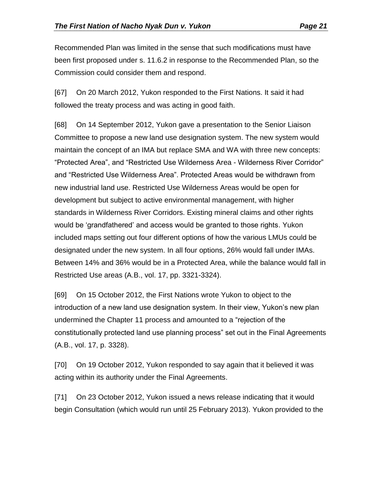Recommended Plan was limited in the sense that such modifications must have been first proposed under s. 11.6.2 in response to the Recommended Plan, so the Commission could consider them and respond.

[67] On 20 March 2012, Yukon responded to the First Nations. It said it had followed the treaty process and was acting in good faith.

[68] On 14 September 2012, Yukon gave a presentation to the Senior Liaison Committee to propose a new land use designation system. The new system would maintain the concept of an IMA but replace SMA and WA with three new concepts: "Protected Area", and "Restricted Use Wilderness Area - Wilderness River Corridor" and "Restricted Use Wilderness Area". Protected Areas would be withdrawn from new industrial land use. Restricted Use Wilderness Areas would be open for development but subject to active environmental management, with higher standards in Wilderness River Corridors. Existing mineral claims and other rights would be 'grandfathered' and access would be granted to those rights. Yukon included maps setting out four different options of how the various LMUs could be designated under the new system. In all four options, 26% would fall under IMAs. Between 14% and 36% would be in a Protected Area, while the balance would fall in Restricted Use areas (A.B., vol. 17, pp. 3321-3324).

[69] On 15 October 2012, the First Nations wrote Yukon to object to the introduction of a new land use designation system. In their view, Yukon's new plan undermined the Chapter 11 process and amounted to a "rejection of the constitutionally protected land use planning process" set out in the Final Agreements (A.B., vol. 17, p. 3328).

[70] On 19 October 2012, Yukon responded to say again that it believed it was acting within its authority under the Final Agreements.

[71] On 23 October 2012, Yukon issued a news release indicating that it would begin Consultation (which would run until 25 February 2013). Yukon provided to the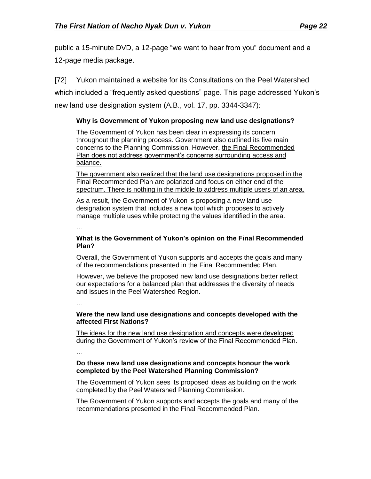public a 15-minute DVD, a 12-page "we want to hear from you" document and a 12-page media package.

[72] Yukon maintained a website for its Consultations on the Peel Watershed which included a "frequently asked questions" page. This page addressed Yukon's new land use designation system (A.B., vol. 17, pp. 3344-3347):

### **Why is Government of Yukon proposing new land use designations?**

The Government of Yukon has been clear in expressing its concern throughout the planning process. Government also outlined its five main concerns to the Planning Commission. However, the Final Recommended Plan does not address government's concerns surrounding access and balance.

The government also realized that the land use designations proposed in the Final Recommended Plan are polarized and focus on either end of the spectrum. There is nothing in the middle to address multiple users of an area.

As a result, the Government of Yukon is proposing a new land use designation system that includes a new tool which proposes to actively manage multiple uses while protecting the values identified in the area.

…

### **What is the Government of Yukon's opinion on the Final Recommended Plan?**

Overall, the Government of Yukon supports and accepts the goals and many of the recommendations presented in the Final Recommended Plan.

However, we believe the proposed new land use designations better reflect our expectations for a balanced plan that addresses the diversity of needs and issues in the Peel Watershed Region.

…

### **Were the new land use designations and concepts developed with the affected First Nations?**

The ideas for the new land use designation and concepts were developed during the Government of Yukon's review of the Final Recommended Plan.

…

### **Do these new land use designations and concepts honour the work completed by the Peel Watershed Planning Commission?**

The Government of Yukon sees its proposed ideas as building on the work completed by the Peel Watershed Planning Commission.

The Government of Yukon supports and accepts the goals and many of the recommendations presented in the Final Recommended Plan.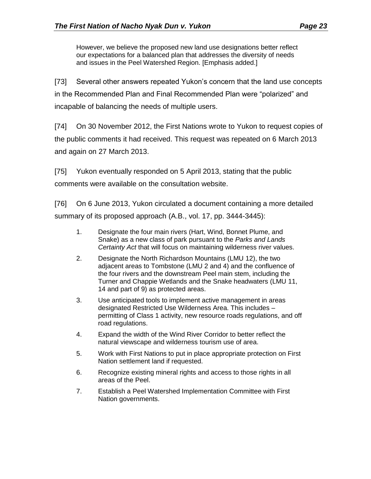However, we believe the proposed new land use designations better reflect our expectations for a balanced plan that addresses the diversity of needs and issues in the Peel Watershed Region. [Emphasis added.]

[73] Several other answers repeated Yukon's concern that the land use concepts in the Recommended Plan and Final Recommended Plan were "polarized" and incapable of balancing the needs of multiple users.

[74] On 30 November 2012, the First Nations wrote to Yukon to request copies of the public comments it had received. This request was repeated on 6 March 2013 and again on 27 March 2013.

[75] Yukon eventually responded on 5 April 2013, stating that the public comments were available on the consultation website.

[76] On 6 June 2013, Yukon circulated a document containing a more detailed summary of its proposed approach (A.B., vol. 17, pp. 3444-3445):

- 1. Designate the four main rivers (Hart, Wind, Bonnet Plume, and Snake) as a new class of park pursuant to the *Parks and Lands Certainty Act* that will focus on maintaining wilderness river values.
- 2. Designate the North Richardson Mountains (LMU 12), the two adjacent areas to Tombstone (LMU 2 and 4) and the confluence of the four rivers and the downstream Peel main stem, including the Turner and Chappie Wetlands and the Snake headwaters (LMU 11, 14 and part of 9) as protected areas.
- 3. Use anticipated tools to implement active management in areas designated Restricted Use Wilderness Area. This includes – permitting of Class 1 activity, new resource roads regulations, and off road regulations.
- 4. Expand the width of the Wind River Corridor to better reflect the natural viewscape and wilderness tourism use of area.
- 5. Work with First Nations to put in place appropriate protection on First Nation settlement land if requested.
- 6. Recognize existing mineral rights and access to those rights in all areas of the Peel.
- 7. Establish a Peel Watershed Implementation Committee with First Nation governments.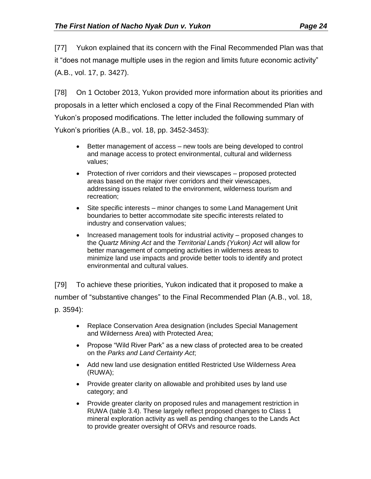[77] Yukon explained that its concern with the Final Recommended Plan was that it "does not manage multiple uses in the region and limits future economic activity" (A.B., vol. 17, p. 3427).

[78] On 1 October 2013, Yukon provided more information about its priorities and proposals in a letter which enclosed a copy of the Final Recommended Plan with Yukon's proposed modifications. The letter included the following summary of Yukon's priorities (A.B., vol. 18, pp. 3452-3453):

- Better management of access new tools are being developed to control and manage access to protect environmental, cultural and wilderness values;
- Protection of river corridors and their viewscapes proposed protected areas based on the major river corridors and their viewscapes, addressing issues related to the environment, wilderness tourism and recreation;
- Site specific interests minor changes to some Land Management Unit boundaries to better accommodate site specific interests related to industry and conservation values;
- Increased management tools for industrial activity proposed changes to the *Quartz Mining Act* and the *Territorial Lands (Yukon) Act* will allow for better management of competing activities in wilderness areas to minimize land use impacts and provide better tools to identify and protect environmental and cultural values.

[79] To achieve these priorities, Yukon indicated that it proposed to make a number of "substantive changes" to the Final Recommended Plan (A.B., vol. 18, p. 3594):

- Replace Conservation Area designation (includes Special Management and Wilderness Area) with Protected Area;
- Propose "Wild River Park" as a new class of protected area to be created on the *Parks and Land Certainty Act*;
- Add new land use designation entitled Restricted Use Wilderness Area (RUWA);
- Provide greater clarity on allowable and prohibited uses by land use category; and
- Provide greater clarity on proposed rules and management restriction in RUWA (table 3.4). These largely reflect proposed changes to Class 1 mineral exploration activity as well as pending changes to the Lands Act to provide greater oversight of ORVs and resource roads.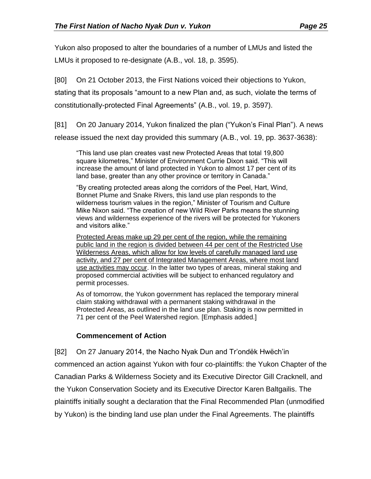Yukon also proposed to alter the boundaries of a number of LMUs and listed the LMUs it proposed to re-designate (A.B., vol. 18, p. 3595).

[80] On 21 October 2013, the First Nations voiced their objections to Yukon,

stating that its proposals "amount to a new Plan and, as such, violate the terms of constitutionally-protected Final Agreements" (A.B., vol. 19, p. 3597).

[81] On 20 January 2014, Yukon finalized the plan ("Yukon's Final Plan"). A news release issued the next day provided this summary (A.B., vol. 19, pp. 3637-3638):

"This land use plan creates vast new Protected Areas that total 19,800 square kilometres," Minister of Environment Currie Dixon said. "This will increase the amount of land protected in Yukon to almost 17 per cent of its land base, greater than any other province or territory in Canada."

"By creating protected areas along the corridors of the Peel, Hart, Wind, Bonnet Plume and Snake Rivers, this land use plan responds to the wilderness tourism values in the region," Minister of Tourism and Culture Mike Nixon said. "The creation of new Wild River Parks means the stunning views and wilderness experience of the rivers will be protected for Yukoners and visitors alike."

Protected Areas make up 29 per cent of the region, while the remaining public land in the region is divided between 44 per cent of the Restricted Use Wilderness Areas, which allow for low levels of carefully managed land use activity, and 27 per cent of Integrated Management Areas, where most land use activities may occur. In the latter two types of areas, mineral staking and proposed commercial activities will be subject to enhanced regulatory and permit processes.

As of tomorrow, the Yukon government has replaced the temporary mineral claim staking withdrawal with a permanent staking withdrawal in the Protected Areas, as outlined in the land use plan. Staking is now permitted in 71 per cent of the Peel Watershed region. [Emphasis added.]

# **Commencement of Action**

<span id="page-24-0"></span>[82] On 27 January 2014, the Nacho Nyak Dun and Tr'ondëk Hwëch'in commenced an action against Yukon with four co-plaintiffs: the Yukon Chapter of the Canadian Parks & Wilderness Society and its Executive Director Gill Cracknell, and the Yukon Conservation Society and its Executive Director Karen Baltgailis. The plaintiffs initially sought a declaration that the Final Recommended Plan (unmodified by Yukon) is the binding land use plan under the Final Agreements. The plaintiffs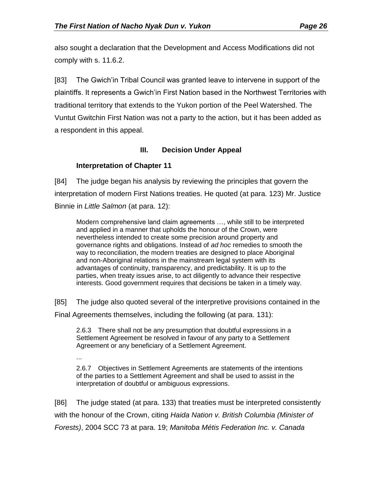also sought a declaration that the Development and Access Modifications did not comply with s. 11.6.2.

[83] The Gwich'in Tribal Council was granted leave to intervene in support of the plaintiffs. It represents a Gwich'in First Nation based in the Northwest Territories with traditional territory that extends to the Yukon portion of the Peel Watershed. The Vuntut Gwitchin First Nation was not a party to the action, but it has been added as a respondent in this appeal.

## **III. Decision Under Appeal**

## <span id="page-25-0"></span>**Interpretation of Chapter 11**

...

<span id="page-25-1"></span>[84] The judge began his analysis by reviewing the principles that govern the interpretation of modern First Nations treaties. He quoted (at para. 123) Mr. Justice Binnie in *Little Salmon* (at para. 12):

Modern comprehensive land claim agreements …, while still to be interpreted and applied in a manner that upholds the honour of the Crown, were nevertheless intended to create some precision around property and governance rights and obligations. Instead of *ad hoc* remedies to smooth the way to reconciliation, the modern treaties are designed to place Aboriginal and non-Aboriginal relations in the mainstream legal system with its advantages of continuity, transparency, and predictability. It is up to the parties, when treaty issues arise, to act diligently to advance their respective interests. Good government requires that decisions be taken in a timely way.

[85] The judge also quoted several of the interpretive provisions contained in the

Final Agreements themselves, including the following (at para. 131):

2.6.3 There shall not be any presumption that doubtful expressions in a Settlement Agreement be resolved in favour of any party to a Settlement Agreement or any beneficiary of a Settlement Agreement.

2.6.7 Objectives in Settlement Agreements are statements of the intentions of the parties to a Settlement Agreement and shall be used to assist in the interpretation of doubtful or ambiguous expressions.

[86] The judge stated (at para. 133) that treaties must be interpreted consistently with the honour of the Crown, citing *Haida Nation v. British Columbia (Minister of Forests)*, 2004 SCC 73 at para. 19; *Manitoba Métis Federation Inc. v. Canada*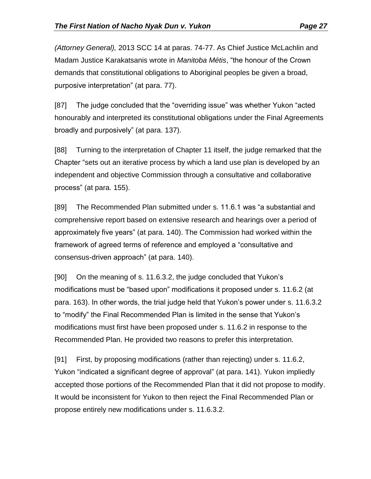*(Attorney General),* 2013 SCC 14 at paras. 74-77. As Chief Justice McLachlin and Madam Justice Karakatsanis wrote in *Manitoba Métis*, "the honour of the Crown demands that constitutional obligations to Aboriginal peoples be given a broad, purposive interpretation" (at para. 77).

[87] The judge concluded that the "overriding issue" was whether Yukon "acted honourably and interpreted its constitutional obligations under the Final Agreements broadly and purposively" (at para. 137).

[88] Turning to the interpretation of Chapter 11 itself, the judge remarked that the Chapter "sets out an iterative process by which a land use plan is developed by an independent and objective Commission through a consultative and collaborative process" (at para. 155).

[89] The Recommended Plan submitted under s. 11.6.1 was "a substantial and comprehensive report based on extensive research and hearings over a period of approximately five years" (at para. 140). The Commission had worked within the framework of agreed terms of reference and employed a "consultative and consensus-driven approach" (at para. 140).

[90] On the meaning of s. 11.6.3.2, the judge concluded that Yukon's modifications must be "based upon" modifications it proposed under s. 11.6.2 (at para. 163). In other words, the trial judge held that Yukon's power under s. 11.6.3.2 to "modify" the Final Recommended Plan is limited in the sense that Yukon's modifications must first have been proposed under s. 11.6.2 in response to the Recommended Plan. He provided two reasons to prefer this interpretation.

[91] First, by proposing modifications (rather than rejecting) under s. 11.6.2, Yukon "indicated a significant degree of approval" (at para. 141). Yukon impliedly accepted those portions of the Recommended Plan that it did not propose to modify. It would be inconsistent for Yukon to then reject the Final Recommended Plan or propose entirely new modifications under s. 11.6.3.2.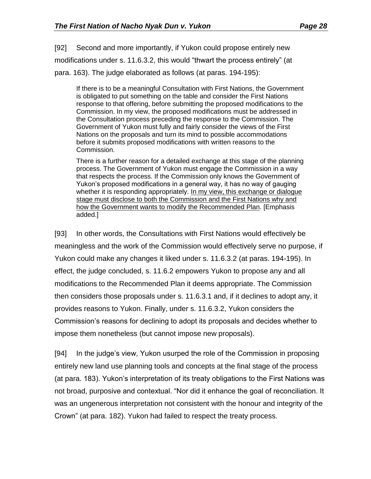[92] Second and more importantly, if Yukon could propose entirely new modifications under s. 11.6.3.2, this would "thwart the process entirely" (at para. 163). The judge elaborated as follows (at paras. 194-195):

If there is to be a meaningful Consultation with First Nations, the Government is obligated to put something on the table and consider the First Nations response to that offering, before submitting the proposed modifications to the Commission. In my view, the proposed modifications must be addressed in the Consultation process preceding the response to the Commission. The Government of Yukon must fully and fairly consider the views of the First Nations on the proposals and turn its mind to possible accommodations before it submits proposed modifications with written reasons to the Commission.

There is a further reason for a detailed exchange at this stage of the planning process. The Government of Yukon must engage the Commission in a way that respects the process. If the Commission only knows the Government of Yukon's proposed modifications in a general way, it has no way of gauging whether it is responding appropriately. In my view, this exchange or dialogue stage must disclose to both the Commission and the First Nations why and how the Government wants to modify the Recommended Plan. [Emphasis added.]

[93] In other words, the Consultations with First Nations would effectively be meaningless and the work of the Commission would effectively serve no purpose, if Yukon could make any changes it liked under s. 11.6.3.2 (at paras. 194-195). In effect, the judge concluded, s. 11.6.2 empowers Yukon to propose any and all modifications to the Recommended Plan it deems appropriate. The Commission then considers those proposals under s. 11.6.3.1 and, if it declines to adopt any, it provides reasons to Yukon. Finally, under s. 11.6.3.2, Yukon considers the Commission's reasons for declining to adopt its proposals and decides whether to impose them nonetheless (but cannot impose new proposals).

[94] In the judge's view, Yukon usurped the role of the Commission in proposing entirely new land use planning tools and concepts at the final stage of the process (at para. 183). Yukon's interpretation of its treaty obligations to the First Nations was not broad, purposive and contextual. "Nor did it enhance the goal of reconciliation. It was an ungenerous interpretation not consistent with the honour and integrity of the Crown" (at para. 182). Yukon had failed to respect the treaty process.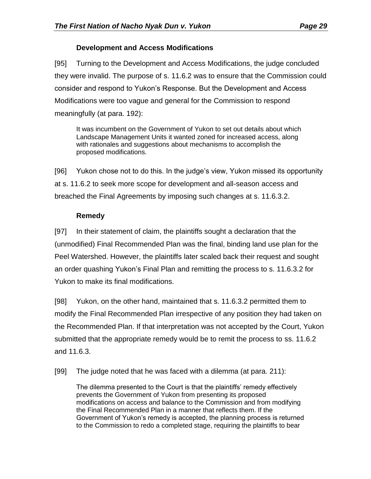## **Development and Access Modifications**

<span id="page-28-0"></span>[95] Turning to the Development and Access Modifications, the judge concluded they were invalid. The purpose of s. 11.6.2 was to ensure that the Commission could consider and respond to Yukon's Response. But the Development and Access Modifications were too vague and general for the Commission to respond meaningfully (at para. 192):

It was incumbent on the Government of Yukon to set out details about which Landscape Management Units it wanted zoned for increased access, along with rationales and suggestions about mechanisms to accomplish the proposed modifications.

[96] Yukon chose not to do this. In the judge's view, Yukon missed its opportunity at s. 11.6.2 to seek more scope for development and all-season access and breached the Final Agreements by imposing such changes at s. 11.6.3.2.

# **Remedy**

<span id="page-28-1"></span>[97] In their statement of claim, the plaintiffs sought a declaration that the (unmodified) Final Recommended Plan was the final, binding land use plan for the Peel Watershed. However, the plaintiffs later scaled back their request and sought an order quashing Yukon's Final Plan and remitting the process to s. 11.6.3.2 for Yukon to make its final modifications.

[98] Yukon, on the other hand, maintained that s. 11.6.3.2 permitted them to modify the Final Recommended Plan irrespective of any position they had taken on the Recommended Plan. If that interpretation was not accepted by the Court, Yukon submitted that the appropriate remedy would be to remit the process to ss. 11.6.2 and 11.6.3.

[99] The judge noted that he was faced with a dilemma (at para. 211):

The dilemma presented to the Court is that the plaintiffs' remedy effectively prevents the Government of Yukon from presenting its proposed modifications on access and balance to the Commission and from modifying the Final Recommended Plan in a manner that reflects them. If the Government of Yukon's remedy is accepted, the planning process is returned to the Commission to redo a completed stage, requiring the plaintiffs to bear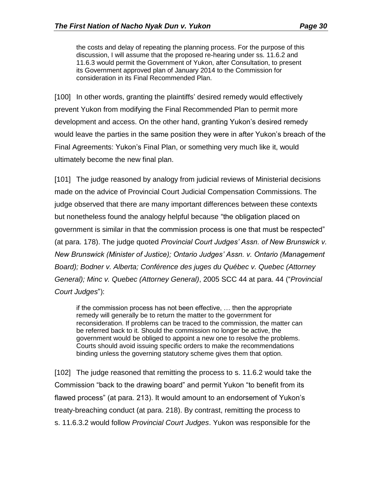the costs and delay of repeating the planning process. For the purpose of this discussion, I will assume that the proposed re-hearing under ss. 11.6.2 and 11.6.3 would permit the Government of Yukon, after Consultation, to present its Government approved plan of January 2014 to the Commission for consideration in its Final Recommended Plan.

[100] In other words, granting the plaintiffs' desired remedy would effectively prevent Yukon from modifying the Final Recommended Plan to permit more development and access. On the other hand, granting Yukon's desired remedy would leave the parties in the same position they were in after Yukon's breach of the Final Agreements: Yukon's Final Plan, or something very much like it, would ultimately become the new final plan.

[101] The judge reasoned by analogy from judicial reviews of Ministerial decisions made on the advice of Provincial Court Judicial Compensation Commissions. The judge observed that there are many important differences between these contexts but nonetheless found the analogy helpful because "the obligation placed on government is similar in that the commission process is one that must be respected" (at para. 178). The judge quoted *Provincial Court Judges' Assn. of New Brunswick v. New Brunswick (Minister of Justice); Ontario Judges' Assn. v. Ontario (Management Board); Bodner v. Alberta; Conférence des juges du Québec v. Quebec (Attorney General); Minc v. Quebec (Attorney General)*, 2005 SCC 44 at para. 44 ("*Provincial Court Judges*"):

if the commission process has not been effective, … then the appropriate remedy will generally be to return the matter to the government for reconsideration. If problems can be traced to the commission, the matter can be referred back to it. Should the commission no longer be active, the government would be obliged to appoint a new one to resolve the problems. Courts should avoid issuing specific orders to make the recommendations binding unless the governing statutory scheme gives them that option.

[102] The judge reasoned that remitting the process to s. 11.6.2 would take the Commission "back to the drawing board" and permit Yukon "to benefit from its flawed process" (at para. 213). It would amount to an endorsement of Yukon's treaty-breaching conduct (at para. 218). By contrast, remitting the process to s. 11.6.3.2 would follow *Provincial Court Judges*. Yukon was responsible for the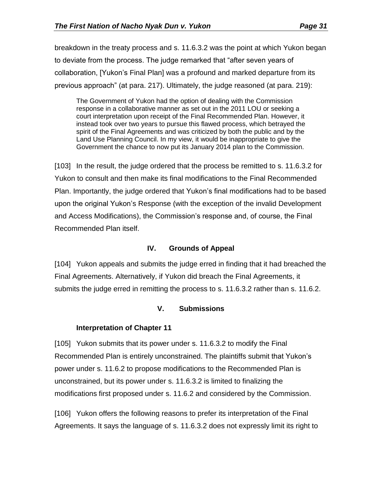breakdown in the treaty process and s. 11.6.3.2 was the point at which Yukon began to deviate from the process. The judge remarked that "after seven years of collaboration, [Yukon's Final Plan] was a profound and marked departure from its previous approach" (at para. 217). Ultimately, the judge reasoned (at para. 219):

The Government of Yukon had the option of dealing with the Commission response in a collaborative manner as set out in the 2011 LOU or seeking a court interpretation upon receipt of the Final Recommended Plan. However, it instead took over two years to pursue this flawed process, which betrayed the spirit of the Final Agreements and was criticized by both the public and by the Land Use Planning Council. In my view, it would be inappropriate to give the Government the chance to now put its January 2014 plan to the Commission.

[103] In the result, the judge ordered that the process be remitted to s. 11.6.3.2 for Yukon to consult and then make its final modifications to the Final Recommended Plan. Importantly, the judge ordered that Yukon's final modifications had to be based upon the original Yukon's Response (with the exception of the invalid Development and Access Modifications), the Commission's response and, of course, the Final Recommended Plan itself.

## **IV. Grounds of Appeal**

<span id="page-30-0"></span>[104] Yukon appeals and submits the judge erred in finding that it had breached the Final Agreements. Alternatively, if Yukon did breach the Final Agreements, it submits the judge erred in remitting the process to s. 11.6.3.2 rather than s. 11.6.2.

## **V. Submissions**

## <span id="page-30-1"></span>**Interpretation of Chapter 11**

<span id="page-30-2"></span>[105] Yukon submits that its power under s. 11.6.3.2 to modify the Final Recommended Plan is entirely unconstrained. The plaintiffs submit that Yukon's power under s. 11.6.2 to propose modifications to the Recommended Plan is unconstrained, but its power under s. 11.6.3.2 is limited to finalizing the modifications first proposed under s. 11.6.2 and considered by the Commission.

[106] Yukon offers the following reasons to prefer its interpretation of the Final Agreements. It says the language of s. 11.6.3.2 does not expressly limit its right to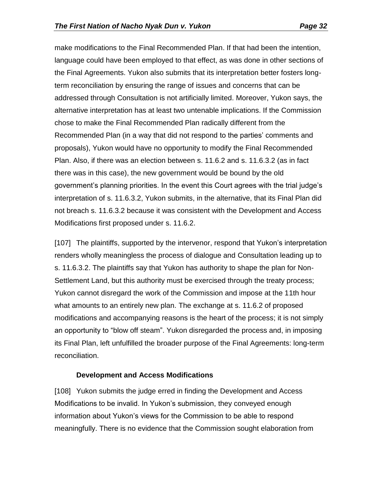make modifications to the Final Recommended Plan. If that had been the intention, language could have been employed to that effect, as was done in other sections of the Final Agreements. Yukon also submits that its interpretation better fosters longterm reconciliation by ensuring the range of issues and concerns that can be addressed through Consultation is not artificially limited. Moreover, Yukon says, the alternative interpretation has at least two untenable implications. If the Commission chose to make the Final Recommended Plan radically different from the Recommended Plan (in a way that did not respond to the parties' comments and proposals), Yukon would have no opportunity to modify the Final Recommended Plan. Also, if there was an election between s. 11.6.2 and s. 11.6.3.2 (as in fact there was in this case), the new government would be bound by the old government's planning priorities. In the event this Court agrees with the trial judge's interpretation of s. 11.6.3.2, Yukon submits, in the alternative, that its Final Plan did not breach s. 11.6.3.2 because it was consistent with the Development and Access Modifications first proposed under s. 11.6.2.

[107] The plaintiffs, supported by the intervenor, respond that Yukon's interpretation renders wholly meaningless the process of dialogue and Consultation leading up to s. 11.6.3.2. The plaintiffs say that Yukon has authority to shape the plan for Non-Settlement Land, but this authority must be exercised through the treaty process; Yukon cannot disregard the work of the Commission and impose at the 11th hour what amounts to an entirely new plan. The exchange at s. 11.6.2 of proposed modifications and accompanying reasons is the heart of the process; it is not simply an opportunity to "blow off steam". Yukon disregarded the process and, in imposing its Final Plan, left unfulfilled the broader purpose of the Final Agreements: long-term reconciliation.

### **Development and Access Modifications**

<span id="page-31-0"></span>[108] Yukon submits the judge erred in finding the Development and Access Modifications to be invalid. In Yukon's submission, they conveyed enough information about Yukon's views for the Commission to be able to respond meaningfully. There is no evidence that the Commission sought elaboration from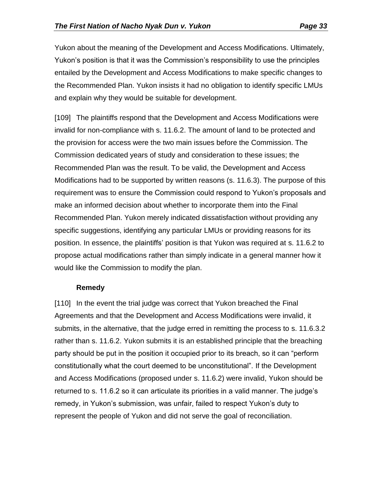Yukon about the meaning of the Development and Access Modifications. Ultimately, Yukon's position is that it was the Commission's responsibility to use the principles entailed by the Development and Access Modifications to make specific changes to the Recommended Plan. Yukon insists it had no obligation to identify specific LMUs and explain why they would be suitable for development.

[109] The plaintiffs respond that the Development and Access Modifications were invalid for non-compliance with s. 11.6.2. The amount of land to be protected and the provision for access were the two main issues before the Commission. The Commission dedicated years of study and consideration to these issues; the Recommended Plan was the result. To be valid, the Development and Access Modifications had to be supported by written reasons (s. 11.6.3). The purpose of this requirement was to ensure the Commission could respond to Yukon's proposals and make an informed decision about whether to incorporate them into the Final Recommended Plan. Yukon merely indicated dissatisfaction without providing any specific suggestions, identifying any particular LMUs or providing reasons for its position. In essence, the plaintiffs' position is that Yukon was required at s. 11.6.2 to propose actual modifications rather than simply indicate in a general manner how it would like the Commission to modify the plan.

## **Remedy**

<span id="page-32-0"></span>[110] In the event the trial judge was correct that Yukon breached the Final Agreements and that the Development and Access Modifications were invalid, it submits, in the alternative, that the judge erred in remitting the process to s. 11.6.3.2 rather than s. 11.6.2. Yukon submits it is an established principle that the breaching party should be put in the position it occupied prior to its breach, so it can "perform constitutionally what the court deemed to be unconstitutional". If the Development and Access Modifications (proposed under s. 11.6.2) were invalid, Yukon should be returned to s. 11.6.2 so it can articulate its priorities in a valid manner. The judge's remedy, in Yukon's submission, was unfair, failed to respect Yukon's duty to represent the people of Yukon and did not serve the goal of reconciliation.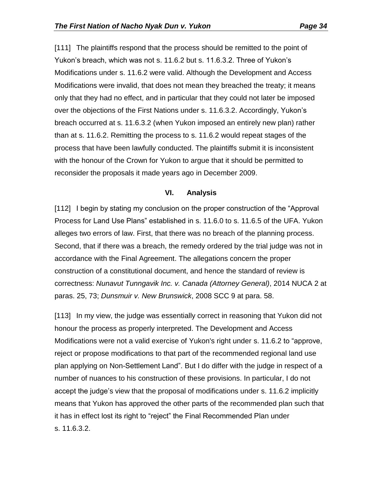[111] The plaintiffs respond that the process should be remitted to the point of Yukon's breach, which was not s. 11.6.2 but s. 11.6.3.2. Three of Yukon's Modifications under s. 11.6.2 were valid. Although the Development and Access Modifications were invalid, that does not mean they breached the treaty; it means only that they had no effect, and in particular that they could not later be imposed over the objections of the First Nations under s. 11.6.3.2. Accordingly, Yukon's breach occurred at s. 11.6.3.2 (when Yukon imposed an entirely new plan) rather than at s. 11.6.2. Remitting the process to s. 11.6.2 would repeat stages of the process that have been lawfully conducted. The plaintiffs submit it is inconsistent with the honour of the Crown for Yukon to argue that it should be permitted to reconsider the proposals it made years ago in December 2009.

### **VI. Analysis**

<span id="page-33-0"></span>[112] I begin by stating my conclusion on the proper construction of the "Approval Process for Land Use Plans" established in s. 11.6.0 to s. 11.6.5 of the UFA. Yukon alleges two errors of law. First, that there was no breach of the planning process. Second, that if there was a breach, the remedy ordered by the trial judge was not in accordance with the Final Agreement. The allegations concern the proper construction of a constitutional document, and hence the standard of review is correctness: *Nunavut Tunngavik Inc. v. Canada (Attorney General)*, 2014 NUCA 2 at paras. 25, 73; *Dunsmuir v. New Brunswick*, 2008 SCC 9 at para. 58.

[113] In my view, the judge was essentially correct in reasoning that Yukon did not honour the process as properly interpreted. The Development and Access Modifications were not a valid exercise of Yukon's right under s. 11.6.2 to "approve, reject or propose modifications to that part of the recommended regional land use plan applying on Non-Settlement Land". But I do differ with the judge in respect of a number of nuances to his construction of these provisions. In particular, I do not accept the judge's view that the proposal of modifications under s. 11.6.2 implicitly means that Yukon has approved the other parts of the recommended plan such that it has in effect lost its right to "reject" the Final Recommended Plan under s. 11.6.3.2.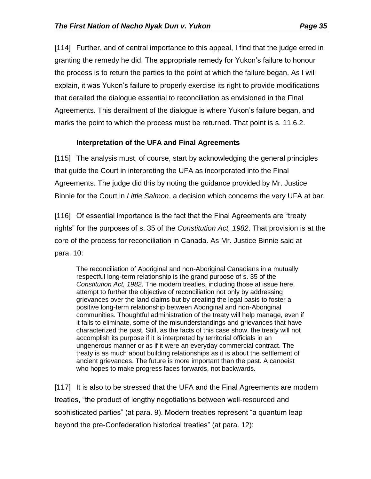[114] Further, and of central importance to this appeal, I find that the judge erred in granting the remedy he did. The appropriate remedy for Yukon's failure to honour the process is to return the parties to the point at which the failure began. As I will explain, it was Yukon's failure to properly exercise its right to provide modifications that derailed the dialogue essential to reconciliation as envisioned in the Final Agreements. This derailment of the dialogue is where Yukon's failure began, and marks the point to which the process must be returned. That point is s. 11.6.2.

## **Interpretation of the UFA and Final Agreements**

<span id="page-34-0"></span>[115] The analysis must, of course, start by acknowledging the general principles that guide the Court in interpreting the UFA as incorporated into the Final Agreements. The judge did this by noting the guidance provided by Mr. Justice Binnie for the Court in *Little Salmon*, a decision which concerns the very UFA at bar.

[116] Of essential importance is the fact that the Final Agreements are "treaty rightsˮ for the purposes of s. 35 of the *Constitution Act, 1982*. That provision is at the core of the process for reconciliation in Canada. As Mr. Justice Binnie said at para. 10:

The reconciliation of Aboriginal and non-Aboriginal Canadians in a mutually respectful long-term relationship is the grand purpose of s. 35 of the *Constitution Act, 1982*. The modern treaties, including those at issue here, attempt to further the objective of reconciliation not only by addressing grievances over the land claims but by creating the legal basis to foster a positive long-term relationship between Aboriginal and non-Aboriginal communities. Thoughtful administration of the treaty will help manage, even if it fails to eliminate, some of the misunderstandings and grievances that have characterized the past. Still, as the facts of this case show, the treaty will not accomplish its purpose if it is interpreted by territorial officials in an ungenerous manner or as if it were an everyday commercial contract. The treaty is as much about building relationships as it is about the settlement of ancient grievances. The future is more important than the past. A canoeist who hopes to make progress faces forwards, not backwards.

[117] It is also to be stressed that the UFA and the Final Agreements are modern treaties, "the product of lengthy negotiations between well-resourced and sophisticated partiesˮ (at para. 9). Modern treaties represent "a quantum leap beyond the pre-Confederation historical treaties" (at para. 12):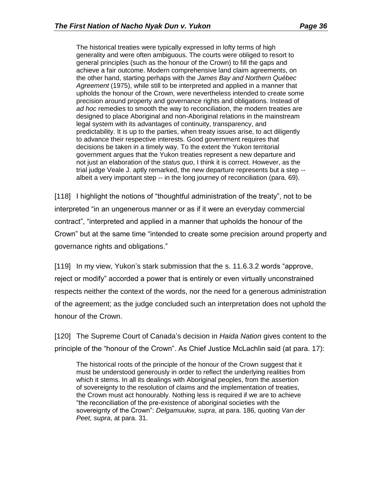The historical treaties were typically expressed in lofty terms of high generality and were often ambiguous. The courts were obliged to resort to general principles (such as the honour of the Crown) to fill the gaps and achieve a fair outcome. Modern comprehensive land claim agreements, on the other hand, starting perhaps with the *James Bay and Northern Québec Agreement* (1975), while still to be interpreted and applied in a manner that upholds the honour of the Crown, were nevertheless intended to create some precision around property and governance rights and obligations. Instead of *ad hoc* remedies to smooth the way to reconciliation, the modern treaties are designed to place Aboriginal and non-Aboriginal relations in the mainstream legal system with its advantages of continuity, transparency, and predictability. It is up to the parties, when treaty issues arise, to act diligently to advance their respective interests. Good government requires that decisions be taken in a timely way. To the extent the Yukon territorial government argues that the Yukon treaties represent a new departure and not just an elaboration of the *status quo*, I think it is correct. However, as the trial judge Veale J. aptly remarked, the new departure represents but a step - albeit a very important step -- in the long journey of reconciliation (para. 69).

[118] I highlight the notions of "thoughtful administration of the treaty", not to be interpreted "in an ungenerous manner or as if it were an everyday commercial contractˮ, "interpreted and applied in a manner that upholds the honour of the Crownˮ but at the same time "intended to create some precision around property and governance rights and obligations."

[119] In my view, Yukon's stark submission that the s. 11.6.3.2 words "approve, reject or modify" accorded a power that is entirely or even virtually unconstrained respects neither the context of the words, nor the need for a generous administration of the agreement; as the judge concluded such an interpretation does not uphold the honour of the Crown.

[120] The Supreme Court of Canada's decision in *Haida Nation* gives content to the principle of the "honour of the Crown". As Chief Justice McLachlin said (at para. 17):

The historical roots of the principle of the honour of the Crown suggest that it must be understood generously in order to reflect the underlying realities from which it stems. In all its dealings with Aboriginal peoples, from the assertion of sovereignty to the resolution of claims and the implementation of treaties, the Crown must act honourably. Nothing less is required if we are to achieve "the reconciliation of the pre-existence of aboriginal societies with the sovereignty of the Crownˮ: *Delgamuukw, supra*, at para. 186, quoting *Van der Peet, supra*, at para. 31.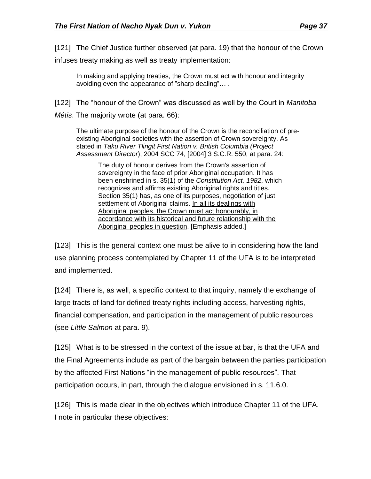infuses treaty making as well as treaty implementation:

In making and applying treaties, the Crown must act with honour and integrity avoiding even the appearance of "sharp dealing"… .

[122] The "honour of the Crown" was discussed as well by the Court in *Manitoba* 

*Métis*. The majority wrote (at para. 66):

The ultimate purpose of the honour of the Crown is the reconciliation of preexisting Aboriginal societies with the assertion of Crown sovereignty. As stated in *Taku River Tlingit First Nation v. British Columbia (Project Assessment Director*), [2004 SCC 74,](file:///C:/ca/legal/search/runRemoteLink.do%3fA=0.6537176415623972&bct=A&service=citation&risb=21_T22695009170&langcountry=CA&linkInfo=F%23CA%23SCC%23sel1%252004%25year%252004%25decisiondate%252004%25onum%2574%25) [\[2004\] 3 S.C.R. 550,](file:///C:/ca/legal/search/runRemoteLink.do%3fA=0.5508187760510354&bct=A&service=citation&risb=21_T22695009170&langcountry=CA&linkInfo=F%23CA%23SCR%23vol%253%25sel1%252004%25page%25550%25year%252004%25sel2%253%25) at para. 24:

The duty of honour derives from the Crown's assertion of sovereignty in the face of prior Aboriginal occupation. It has been enshrined in s. 35(1) of the *Constitution Act, 1982*, which recognizes and affirms existing Aboriginal rights and titles. Section 35(1) has, as one of its purposes, negotiation of just settlement of Aboriginal claims. In all its dealings with Aboriginal peoples, the Crown must act honourably, in accordance with its historical and future relationship with the Aboriginal peoples in question. [Emphasis added.]

[123] This is the general context one must be alive to in considering how the land use planning process contemplated by Chapter 11 of the UFA is to be interpreted and implemented.

[124] There is, as well, a specific context to that inquiry, namely the exchange of large tracts of land for defined treaty rights including access, harvesting rights, financial compensation, and participation in the management of public resources (see *Little Salmon* at para. 9).

[125] What is to be stressed in the context of the issue at bar, is that the UFA and the Final Agreements include as part of the bargain between the parties participation by the affected First Nations "in the management of public resourcesˮ. That participation occurs, in part, through the dialogue envisioned in s. 11.6.0.

[126] This is made clear in the objectives which introduce Chapter 11 of the UFA. I note in particular these objectives: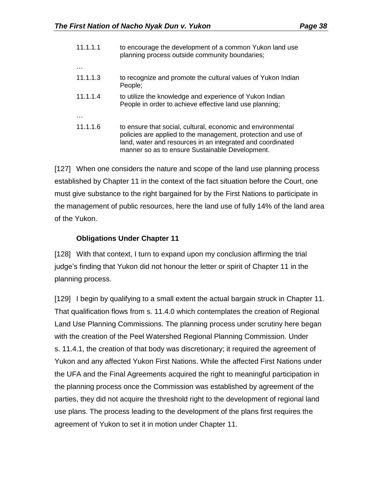| 11.1.1.1 | to encourage the development of a common Yukon land use<br>planning process outside community boundaries;                                                                                                                                     |
|----------|-----------------------------------------------------------------------------------------------------------------------------------------------------------------------------------------------------------------------------------------------|
|          |                                                                                                                                                                                                                                               |
| 11.1.1.3 | to recognize and promote the cultural values of Yukon Indian<br>People;                                                                                                                                                                       |
| 11.1.1.4 | to utilize the knowledge and experience of Yukon Indian<br>People in order to achieve effective land use planning;                                                                                                                            |
|          |                                                                                                                                                                                                                                               |
| 11.1.1.6 | to ensure that social, cultural, economic and environmental<br>policies are applied to the management, protection and use of<br>land, water and resources in an integrated and coordinated<br>manner so as to ensure Sustainable Development. |

[127] When one considers the nature and scope of the land use planning process established by Chapter 11 in the context of the fact situation before the Court, one must give substance to the right bargained for by the First Nations to participate in the management of public resources, here the land use of fully 14% of the land area of the Yukon.

## **Obligations Under Chapter 11**

<span id="page-37-0"></span>[128] With that context, I turn to expand upon my conclusion affirming the trial judge's finding that Yukon did not honour the letter or spirit of Chapter 11 in the planning process.

[129] I begin by qualifying to a small extent the actual bargain struck in Chapter 11. That qualification flows from s. 11.4.0 which contemplates the creation of Regional Land Use Planning Commissions. The planning process under scrutiny here began with the creation of the Peel Watershed Regional Planning Commission. Under s. 11.4.1, the creation of that body was discretionary; it required the agreement of Yukon and any affected Yukon First Nations. While the affected First Nations under the UFA and the Final Agreements acquired the right to meaningful participation in the planning process once the Commission was established by agreement of the parties, they did not acquire the threshold right to the development of regional land use plans. The process leading to the development of the plans first requires the agreement of Yukon to set it in motion under Chapter 11.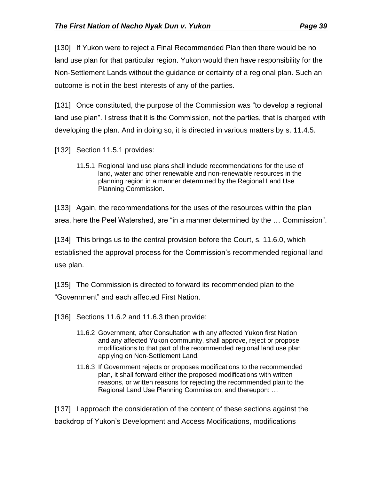[130] If Yukon were to reject a Final Recommended Plan then there would be no land use plan for that particular region. Yukon would then have responsibility for the Non-Settlement Lands without the guidance or certainty of a regional plan. Such an outcome is not in the best interests of any of the parties.

[131] Once constituted, the purpose of the Commission was "to develop a regional land use plan". I stress that it is the Commission, not the parties, that is charged with developing the plan. And in doing so, it is directed in various matters by s. 11.4.5.

- [132] Section 11.5.1 provides:
	- 11.5.1 Regional land use plans shall include recommendations for the use of land, water and other renewable and non-renewable resources in the planning region in a manner determined by the Regional Land Use Planning Commission.

[133] Again, the recommendations for the uses of the resources within the plan area, here the Peel Watershed, are "in a manner determined by the … Commissionˮ.

[134] This brings us to the central provision before the Court, s. 11.6.0, which established the approval process for the Commission's recommended regional land use plan.

[135] The Commission is directed to forward its recommended plan to the "Governmentˮ and each affected First Nation.

[136] Sections 11.6.2 and 11.6.3 then provide:

- 11.6.2 Government, after Consultation with any affected Yukon first Nation and any affected Yukon community, shall approve, reject or propose modifications to that part of the recommended regional land use plan applying on Non-Settlement Land.
- 11.6.3 If Government rejects or proposes modifications to the recommended plan, it shall forward either the proposed modifications with written reasons, or written reasons for rejecting the recommended plan to the Regional Land Use Planning Commission, and thereupon: …

[137] I approach the consideration of the content of these sections against the backdrop of Yukon's Development and Access Modifications, modifications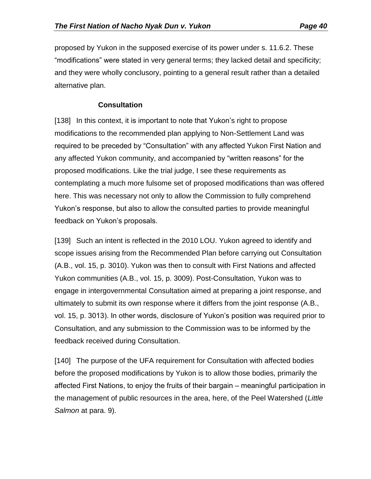proposed by Yukon in the supposed exercise of its power under s. 11.6.2. These "modificationsˮ were stated in very general terms; they lacked detail and specificity; and they were wholly conclusory, pointing to a general result rather than a detailed alternative plan.

# **Consultation**

<span id="page-39-0"></span>[138] In this context, it is important to note that Yukon's right to propose modifications to the recommended plan applying to Non-Settlement Land was required to be preceded by "Consultation" with any affected Yukon First Nation and any affected Yukon community, and accompanied by "written reasons" for the proposed modifications. Like the trial judge, I see these requirements as contemplating a much more fulsome set of proposed modifications than was offered here. This was necessary not only to allow the Commission to fully comprehend Yukon's response, but also to allow the consulted parties to provide meaningful feedback on Yukon's proposals.

[139] Such an intent is reflected in the 2010 LOU. Yukon agreed to identify and scope issues arising from the Recommended Plan before carrying out Consultation (A.B., vol. 15, p. 3010). Yukon was then to consult with First Nations and affected Yukon communities (A.B., vol. 15, p. 3009). Post-Consultation, Yukon was to engage in intergovernmental Consultation aimed at preparing a joint response, and ultimately to submit its own response where it differs from the joint response (A.B., vol. 15, p. 3013). In other words, disclosure of Yukon's position was required prior to Consultation, and any submission to the Commission was to be informed by the feedback received during Consultation.

[140] The purpose of the UFA requirement for Consultation with affected bodies before the proposed modifications by Yukon is to allow those bodies, primarily the affected First Nations, to enjoy the fruits of their bargain – meaningful participation in the management of public resources in the area, here, of the Peel Watershed (*Little Salmon* at para. 9).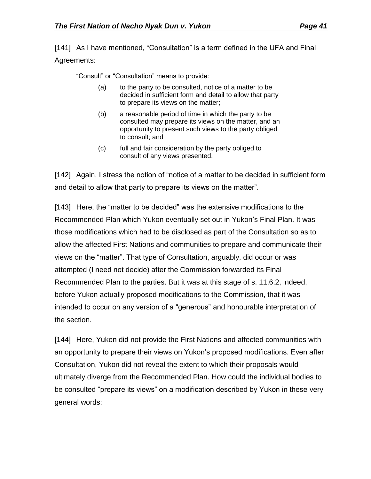[141] As I have mentioned, "Consultation" is a term defined in the UFA and Final Agreements:

"Consult" or "Consultation" means to provide:

- (a) to the party to be consulted, notice of a matter to be decided in sufficient form and detail to allow that party to prepare its views on the matter;
- (b) a reasonable period of time in which the party to be consulted may prepare its views on the matter, and an opportunity to present such views to the party obliged to consult; and
- (c) full and fair consideration by the party obliged to consult of any views presented.

[142] Again, I stress the notion of "notice of a matter to be decided in sufficient form and detail to allow that party to prepare its views on the matter".

[143] Here, the "matter to be decided" was the extensive modifications to the Recommended Plan which Yukon eventually set out in Yukon's Final Plan. It was those modifications which had to be disclosed as part of the Consultation so as to allow the affected First Nations and communities to prepare and communicate their views on the "matter". That type of Consultation, arguably, did occur or was attempted (I need not decide) after the Commission forwarded its Final Recommended Plan to the parties. But it was at this stage of s. 11.6.2, indeed, before Yukon actually proposed modifications to the Commission, that it was intended to occur on any version of a "generous" and honourable interpretation of the section.

[144] Here, Yukon did not provide the First Nations and affected communities with an opportunity to prepare their views on Yukon's proposed modifications. Even after Consultation, Yukon did not reveal the extent to which their proposals would ultimately diverge from the Recommended Plan. How could the individual bodies to be consulted "prepare its views" on a modification described by Yukon in these very general words: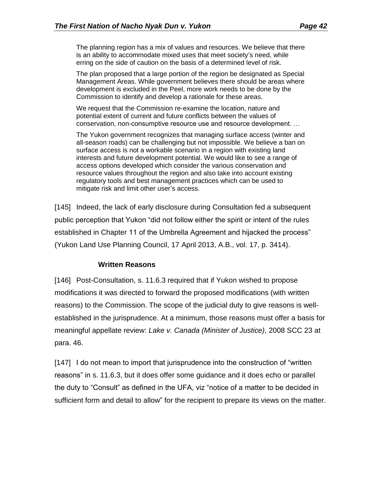The planning region has a mix of values and resources. We believe that there is an ability to accommodate mixed uses that meet society's need, while erring on the side of caution on the basis of a determined level of risk.

The plan proposed that a large portion of the region be designated as Special Management Areas. While government believes there should be areas where development is excluded in the Peel, more work needs to be done by the Commission to identify and develop a rationale for these areas.

We request that the Commission re-examine the location, nature and potential extent of current and future conflicts between the values of conservation, non-consumptive resource use and resource development. …

The Yukon government recognizes that managing surface access (winter and all-season roads) can be challenging but not impossible. We believe a ban on surface access is not a workable scenario in a region with existing land interests and future development potential. We would like to see a range of access options developed which consider the various conservation and resource values throughout the region and also take into account existing regulatory tools and best management practices which can be used to mitigate risk and limit other user's access.

[145] Indeed, the lack of early disclosure during Consultation fed a subsequent public perception that Yukon "did not follow either the spirit or intent of the rules established in Chapter 11 of the Umbrella Agreement and hijacked the process" (Yukon Land Use Planning Council, 17 April 2013, A.B., vol. 17, p. 3414).

### **Written Reasons**

<span id="page-41-0"></span>[146] Post-Consultation, s. 11.6.3 required that if Yukon wished to propose modifications it was directed to forward the proposed modifications (with written reasons) to the Commission. The scope of the judicial duty to give reasons is wellestablished in the jurisprudence. At a minimum, those reasons must offer a basis for meaningful appellate review: *Lake v. Canada (Minister of Justice)*, 2008 SCC 23 at para. 46.

[147] I do not mean to import that jurisprudence into the construction of "written reasons" in s. 11.6.3, but it does offer some guidance and it does echo or parallel the duty to "Consult" as defined in the UFA, viz "notice of a matter to be decided in sufficient form and detail to allow" for the recipient to prepare its views on the matter.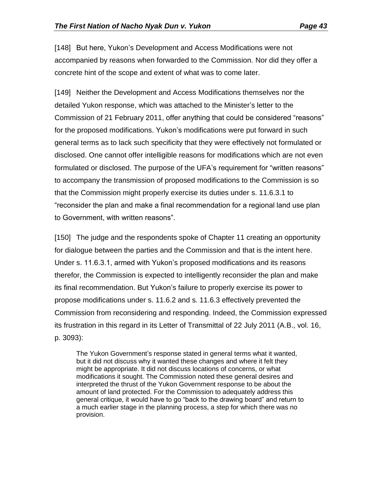[148] But here, Yukon's Development and Access Modifications were not accompanied by reasons when forwarded to the Commission. Nor did they offer a concrete hint of the scope and extent of what was to come later.

[149] Neither the Development and Access Modifications themselves nor the detailed Yukon response, which was attached to the Minister's letter to the Commission of 21 February 2011, offer anything that could be considered "reasons" for the proposed modifications. Yukon's modifications were put forward in such general terms as to lack such specificity that they were effectively not formulated or disclosed. One cannot offer intelligible reasons for modifications which are not even formulated or disclosed. The purpose of the UFA's requirement for "written reasons" to accompany the transmission of proposed modifications to the Commission is so that the Commission might properly exercise its duties under s. 11.6.3.1 to "reconsider the plan and make a final recommendation for a regional land use plan to Government, with written reasons".

[150] The judge and the respondents spoke of Chapter 11 creating an opportunity for dialogue between the parties and the Commission and that is the intent here. Under s. 11.6.3.1, armed with Yukon's proposed modifications and its reasons therefor, the Commission is expected to intelligently reconsider the plan and make its final recommendation. But Yukon's failure to properly exercise its power to propose modifications under s. 11.6.2 and s. 11.6.3 effectively prevented the Commission from reconsidering and responding. Indeed, the Commission expressed its frustration in this regard in its Letter of Transmittal of 22 July 2011 (A.B., vol. 16, p. 3093):

The Yukon Government's response stated in general terms what it wanted, but it did not discuss why it wanted these changes and where it felt they might be appropriate. It did not discuss locations of concerns, or what modifications it sought. The Commission noted these general desires and interpreted the thrust of the Yukon Government response to be about the amount of land protected. For the Commission to adequately address this general critique, it would have to go "back to the drawing board" and return to a much earlier stage in the planning process, a step for which there was no provision.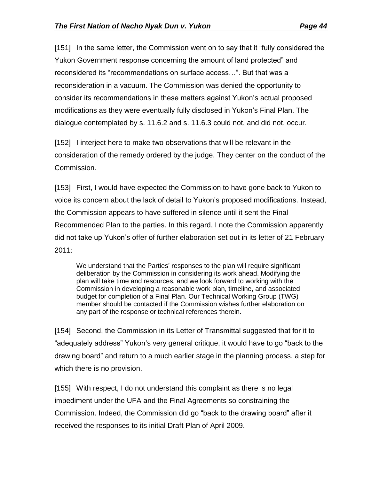[151] In the same letter, the Commission went on to say that it "fully considered the Yukon Government response concerning the amount of land protectedˮ and reconsidered its "recommendations on surface access…ˮ. But that was a reconsideration in a vacuum. The Commission was denied the opportunity to consider its recommendations in these matters against Yukon's actual proposed modifications as they were eventually fully disclosed in Yukon's Final Plan. The dialogue contemplated by s. 11.6.2 and s. 11.6.3 could not, and did not, occur.

[152] I interject here to make two observations that will be relevant in the consideration of the remedy ordered by the judge. They center on the conduct of the Commission.

[153] First, I would have expected the Commission to have gone back to Yukon to voice its concern about the lack of detail to Yukon's proposed modifications. Instead, the Commission appears to have suffered in silence until it sent the Final Recommended Plan to the parties. In this regard, I note the Commission apparently did not take up Yukon's offer of further elaboration set out in its letter of 21 February 2011:

We understand that the Parties' responses to the plan will require significant deliberation by the Commission in considering its work ahead. Modifying the plan will take time and resources, and we look forward to working with the Commission in developing a reasonable work plan, timeline, and associated budget for completion of a Final Plan. Our Technical Working Group (TWG) member should be contacted if the Commission wishes further elaboration on any part of the response or technical references therein.

[154] Second, the Commission in its Letter of Transmittal suggested that for it to "adequately addressˮ Yukon's very general critique, it would have to go "back to the drawing boardˮ and return to a much earlier stage in the planning process, a step for which there is no provision.

[155] With respect, I do not understand this complaint as there is no legal impediment under the UFA and the Final Agreements so constraining the Commission. Indeed, the Commission did go "back to the drawing board" after it received the responses to its initial Draft Plan of April 2009.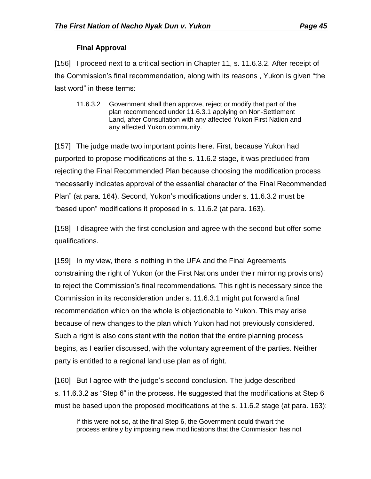# **Final Approval**

<span id="page-44-0"></span>[156] I proceed next to a critical section in Chapter 11, s. 11.6.3.2. After receipt of the Commission's final recommendation, along with its reasons , Yukon is given "the last word" in these terms:

11.6.3.2 Government shall then approve, reject or modify that part of the plan recommended under 11.6.3.1 applying on Non-Settlement Land, after Consultation with any affected Yukon First Nation and any affected Yukon community.

[157] The judge made two important points here. First, because Yukon had purported to propose modifications at the s. 11.6.2 stage, it was precluded from rejecting the Final Recommended Plan because choosing the modification process "necessarily indicates approval of the essential character of the Final Recommended Plan" (at para. 164). Second, Yukon's modifications under s. 11.6.3.2 must be "based uponˮ modifications it proposed in s. 11.6.2 (at para. 163).

[158] I disagree with the first conclusion and agree with the second but offer some qualifications.

[159] In my view, there is nothing in the UFA and the Final Agreements constraining the right of Yukon (or the First Nations under their mirroring provisions) to reject the Commission's final recommendations. This right is necessary since the Commission in its reconsideration under s. 11.6.3.1 might put forward a final recommendation which on the whole is objectionable to Yukon. This may arise because of new changes to the plan which Yukon had not previously considered. Such a right is also consistent with the notion that the entire planning process begins, as I earlier discussed, with the voluntary agreement of the parties. Neither party is entitled to a regional land use plan as of right.

[160] But I agree with the judge's second conclusion. The judge described s. 11.6.3.2 as "Step 6" in the process. He suggested that the modifications at Step 6 must be based upon the proposed modifications at the s. 11.6.2 stage (at para. 163):

If this were not so, at the final Step 6, the Government could thwart the process entirely by imposing new modifications that the Commission has not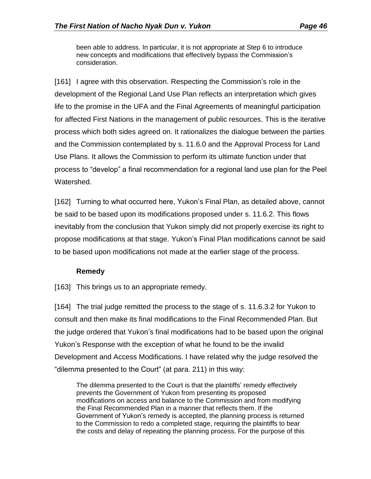been able to address. In particular, it is not appropriate at Step 6 to introduce new concepts and modifications that effectively bypass the Commission's consideration.

[161] I agree with this observation. Respecting the Commission's role in the development of the Regional Land Use Plan reflects an interpretation which gives life to the promise in the UFA and the Final Agreements of meaningful participation for affected First Nations in the management of public resources. This is the iterative process which both sides agreed on. It rationalizes the dialogue between the parties and the Commission contemplated by s. 11.6.0 and the Approval Process for Land Use Plans. It allows the Commission to perform its ultimate function under that process to "develop" a final recommendation for a regional land use plan for the Peel Watershed.

[162] Turning to what occurred here, Yukon's Final Plan, as detailed above, cannot be said to be based upon its modifications proposed under s. 11.6.2. This flows inevitably from the conclusion that Yukon simply did not properly exercise its right to propose modifications at that stage. Yukon's Final Plan modifications cannot be said to be based upon modifications not made at the earlier stage of the process.

## **Remedy**

<span id="page-45-0"></span>[163] This brings us to an appropriate remedy.

[164] The trial judge remitted the process to the stage of s. 11.6.3.2 for Yukon to consult and then make its final modifications to the Final Recommended Plan. But the judge ordered that Yukon's final modifications had to be based upon the original Yukon's Response with the exception of what he found to be the invalid Development and Access Modifications. I have related why the judge resolved the "dilemma presented to the Court" (at para. 211) in this way:

The dilemma presented to the Court is that the plaintiffs' remedy effectively prevents the Government of Yukon from presenting its proposed modifications on access and balance to the Commission and from modifying the Final Recommended Plan in a manner that reflects them. If the Government of Yukon's remedy is accepted, the planning process is returned to the Commission to redo a completed stage, requiring the plaintiffs to bear the costs and delay of repeating the planning process. For the purpose of this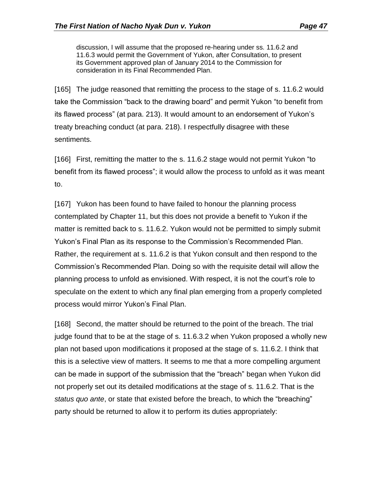discussion, I will assume that the proposed re-hearing under ss. 11.6.2 and 11.6.3 would permit the Government of Yukon, after Consultation, to present its Government approved plan of January 2014 to the Commission for consideration in its Final Recommended Plan.

[165] The judge reasoned that remitting the process to the stage of s. 11.6.2 would take the Commission "back to the drawing board" and permit Yukon "to benefit from its flawed processˮ (at para. 213). It would amount to an endorsement of Yukon's treaty breaching conduct (at para. 218). I respectfully disagree with these sentiments.

[166] First, remitting the matter to the s. 11.6.2 stage would not permit Yukon "to benefit from its flawed process"; it would allow the process to unfold as it was meant to.

[167] Yukon has been found to have failed to honour the planning process contemplated by Chapter 11, but this does not provide a benefit to Yukon if the matter is remitted back to s. 11.6.2. Yukon would not be permitted to simply submit Yukon's Final Plan as its response to the Commission's Recommended Plan. Rather, the requirement at s. 11.6.2 is that Yukon consult and then respond to the Commission's Recommended Plan. Doing so with the requisite detail will allow the planning process to unfold as envisioned. With respect, it is not the court's role to speculate on the extent to which any final plan emerging from a properly completed process would mirror Yukon's Final Plan.

[168] Second, the matter should be returned to the point of the breach. The trial judge found that to be at the stage of s. 11.6.3.2 when Yukon proposed a wholly new plan not based upon modifications it proposed at the stage of s. 11.6.2. I think that this is a selective view of matters. It seems to me that a more compelling argument can be made in support of the submission that the "breach" began when Yukon did not properly set out its detailed modifications at the stage of s. 11.6.2. That is the *status quo ante, or state that existed before the breach, to which the "breaching"* party should be returned to allow it to perform its duties appropriately: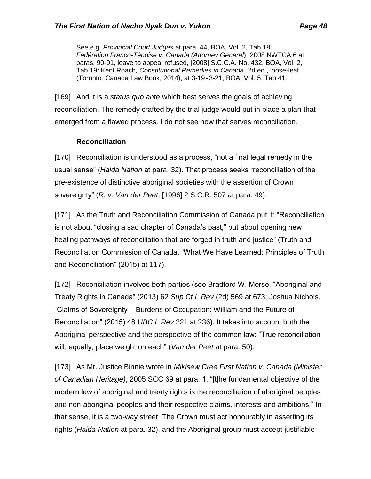See e.g. *Provincial Court Judges* at para. 44, BOA, Vol. 2, Tab 18; *Fédération Franco-Ténoise v. Canada (Attorney General*), 2008 NWTCA 6 at paras. 90-91, leave to appeal refused, [2008] S.C.C.A. No. 432, BOA, Vol. 2, Tab 19*;* Kent Roach*, Constitutional Remedies in Canada*, 2d ed., loose-leaf (Toronto: Canada Law Book, 2014), at 3-19- 3-21, BOA, Vol. 5, Tab 41.

[169] And it is a *status quo ante* which best serves the goals of achieving reconciliation. The remedy crafted by the trial judge would put in place a plan that emerged from a flawed process. I do not see how that serves reconciliation.

## **Reconciliation**

<span id="page-47-0"></span>[170] Reconciliation is understood as a process, "not a final legal remedy in the usual sense" (*Haida Nation* at para. 32). That process seeks "reconciliation of the pre-existence of distinctive aboriginal societies with the assertion of Crown sovereignty" (*R. v. Van der Peet*, [1996] 2 S.C.R. 507 at para. 49).

[171] As the Truth and Reconciliation Commission of Canada put it: "Reconciliation is not about "closing a sad chapter of Canada's past," but about opening new healing pathways of reconciliation that are forged in truth and justice" (Truth and Reconciliation Commission of Canada, "What We Have Learned: Principles of Truth and Reconciliation" (2015) at 117).

[172] Reconciliation involves both parties (see Bradford W. Morse, "Aboriginal and Treaty Rights in Canada" (2013) 62 *Sup Ct L Rev* (2d) 569 at 673; Joshua Nichols, "Claims of Sovereignty – Burdens of Occupation: William and the Future of Reconciliation" (2015) 48 *UBC L Rev* 221 at 236). It takes into account both the Aboriginal perspective and the perspective of the common law: "True reconciliation will, equally, place weight on each" (*Van der Peet* at para. 50).

[173] As Mr. Justice Binnie wrote in *Mikisew Cree First Nation v. Canada (Minister of Canadian Heritage)*, 2005 SCC 69 at para. 1, "[t]he fundamental objective of the modern law of aboriginal and treaty rights is the reconciliation of aboriginal peoples and non-aboriginal peoples and their respective claims, interests and ambitions." In that sense, it is a two-way street. The Crown must act honourably in asserting its rights (*Haida Nation* at para. 32), and the Aboriginal group must accept justifiable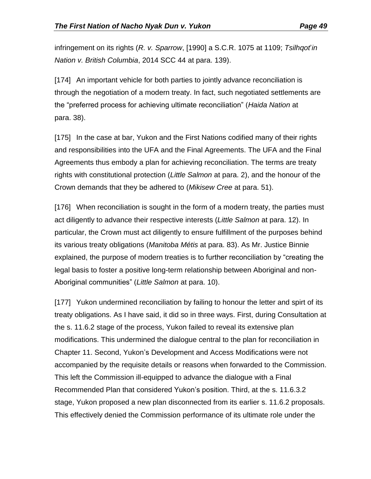infringement on its rights (*R. v. Sparrow*, [1990] a S.C.R. 1075 at 1109; *Tsilhqot*'*in Nation v. British Columbia*, 2014 SCC 44 at para. 139).

[174] An important vehicle for both parties to jointly advance reconciliation is through the negotiation of a modern treaty. In fact, such negotiated settlements are the "preferred process for achieving ultimate reconciliation" (*Haida Nation* at para. 38).

[175] In the case at bar, Yukon and the First Nations codified many of their rights and responsibilities into the UFA and the Final Agreements. The UFA and the Final Agreements thus embody a plan for achieving reconciliation. The terms are treaty rights with constitutional protection (*Little Salmon* at para. 2), and the honour of the Crown demands that they be adhered to (*Mikisew Cree* at para. 51).

[176] When reconciliation is sought in the form of a modern treaty, the parties must act diligently to advance their respective interests (*Little Salmon* at para. 12). In particular, the Crown must act diligently to ensure fulfillment of the purposes behind its various treaty obligations (*Manitoba Métis* at para. 83). As Mr. Justice Binnie explained, the purpose of modern treaties is to further reconciliation by "creating the legal basis to foster a positive long-term relationship between Aboriginal and non-Aboriginal communities" (*Little Salmon* at para. 10).

[177] Yukon undermined reconciliation by failing to honour the letter and spirt of its treaty obligations. As I have said, it did so in three ways. First, during Consultation at the s. 11.6.2 stage of the process, Yukon failed to reveal its extensive plan modifications. This undermined the dialogue central to the plan for reconciliation in Chapter 11. Second, Yukon's Development and Access Modifications were not accompanied by the requisite details or reasons when forwarded to the Commission. This left the Commission ill-equipped to advance the dialogue with a Final Recommended Plan that considered Yukon's position. Third, at the s. 11.6.3.2 stage, Yukon proposed a new plan disconnected from its earlier s. 11.6.2 proposals. This effectively denied the Commission performance of its ultimate role under the